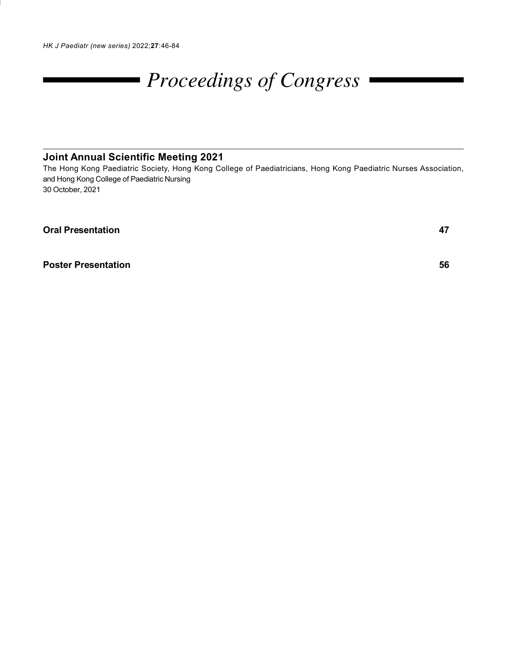# Proceedings of Congress

# Joint Annual Scientific Meeting 2021

The Hong Kong Paediatric Society, Hong Kong College of Paediatricians, Hong Kong Paediatric Nurses Association, and Hong Kong College of Paediatric Nursing 30 October, 2021

Oral Presentation 47

**Poster Presentation 56 1999 1999 1999 1999 1999 1999 1999 1999 1999 1999 1999 1999 1999 1999 1999 1999 1999 1999 1999 1999 1999 1999 1999 1999 1999 1999 1999 1999**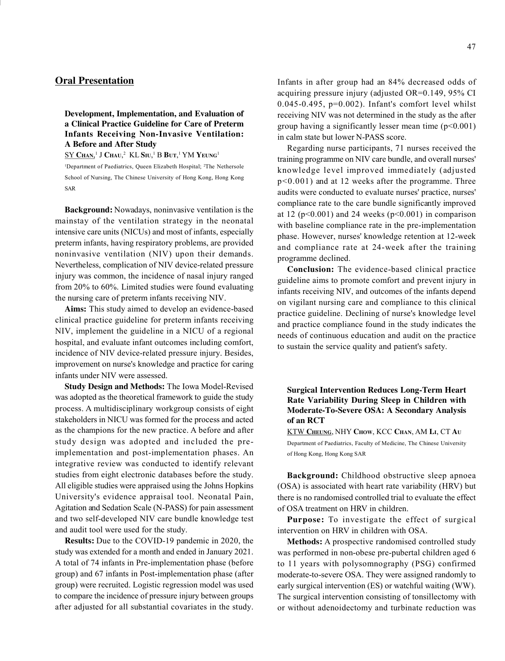# Oral Presentation

Development, Implementation, and Evaluation of a Clinical Practice Guideline for Care of Preterm Infants Receiving Non-Invasive Ventilation: A Before and After Study

 ${\rm SY~C_{HAN,}}^1$  J  ${\rm C_{HAU,^2~KL~S_{IU,^1~B~BUT,^1~YM~Yeung^1}}$ 

<sup>1</sup>Department of Paediatrics, Queen Elizabeth Hospital; <sup>2</sup>The Nethersole School of Nursing, The Chinese University of Hong Kong, Hong Kong SAR

Background: Nowadays, noninvasive ventilation is the mainstay of the ventilation strategy in the neonatal intensive care units (NICUs) and most of infants, especially preterm infants, having respiratory problems, are provided noninvasive ventilation (NIV) upon their demands. Nevertheless, complication of NIV device-related pressure injury was common, the incidence of nasal injury ranged from 20% to 60%. Limited studies were found evaluating the nursing care of preterm infants receiving NIV.

Aims: This study aimed to develop an evidence-based clinical practice guideline for preterm infants receiving NIV, implement the guideline in a NICU of a regional hospital, and evaluate infant outcomes including comfort, incidence of NIV device-related pressure injury. Besides, improvement on nurse's knowledge and practice for caring infants under NIV were assessed.

Study Design and Methods: The Iowa Model-Revised was adopted as the theoretical framework to guide the study process. A multidisciplinary workgroup consists of eight stakeholders in NICU was formed for the process and acted as the champions for the new practice. A before and after study design was adopted and included the preimplementation and post-implementation phases. An integrative review was conducted to identify relevant studies from eight electronic databases before the study. All eligible studies were appraised using the Johns Hopkins University's evidence appraisal tool. Neonatal Pain, Agitation and Sedation Scale (N-PASS) for pain assessment and two self-developed NIV care bundle knowledge test and audit tool were used for the study.

Results: Due to the COVID-19 pandemic in 2020, the study was extended for a month and ended in January 2021. A total of 74 infants in Pre-implementation phase (before group) and 67 infants in Post-implementation phase (after group) were recruited. Logistic regression model was used to compare the incidence of pressure injury between groups after adjusted for all substantial covariates in the study. Infants in after group had an 84% decreased odds of acquiring pressure injury (adjusted OR=0.149, 95% CI  $0.045-0.495$ ,  $p=0.002$ ). Infant's comfort level whilst receiving NIV was not determined in the study as the after group having a significantly lesser mean time  $(p<0.001)$ in calm state but lower N-PASS score.

Regarding nurse participants, 71 nurses received the training programme on NIV care bundle, and overall nurses' knowledge level improved immediately (adjusted p<0.001) and at 12 weeks after the programme. Three audits were conducted to evaluate nurses' practice, nurses' compliance rate to the care bundle significantly improved at 12 ( $p<0.001$ ) and 24 weeks ( $p<0.001$ ) in comparison with baseline compliance rate in the pre-implementation phase. However, nurses' knowledge retention at 12-week and compliance rate at 24-week after the training programme declined.

Conclusion: The evidence-based clinical practice guideline aims to promote comfort and prevent injury in infants receiving NIV, and outcomes of the infants depend on vigilant nursing care and compliance to this clinical practice guideline. Declining of nurse's knowledge level and practice compliance found in the study indicates the needs of continuous education and audit on the practice to sustain the service quality and patient's safety.

# Surgical Intervention Reduces Long-Term Heart Rate Variability During Sleep in Children with Moderate-To-Severe OSA: A Secondary Analysis of an RCT

KTW CHEUNG, NHY CHOW, KCC CHAN, AM LI, CT A<sup>U</sup> Department of Paediatrics, Faculty of Medicine, The Chinese University of Hong Kong, Hong Kong SAR

Background: Childhood obstructive sleep apnoea (OSA) is associated with heart rate variability (HRV) but there is no randomised controlled trial to evaluate the effect of OSA treatment on HRV in children.

Purpose: To investigate the effect of surgical intervention on HRV in children with OSA.

Methods: A prospective randomised controlled study was performed in non-obese pre-pubertal children aged 6 to 11 years with polysomnography (PSG) confirmed moderate-to-severe OSA. They were assigned randomly to early surgical intervention (ES) or watchful waiting (WW). The surgical intervention consisting of tonsillectomy with or without adenoidectomy and turbinate reduction was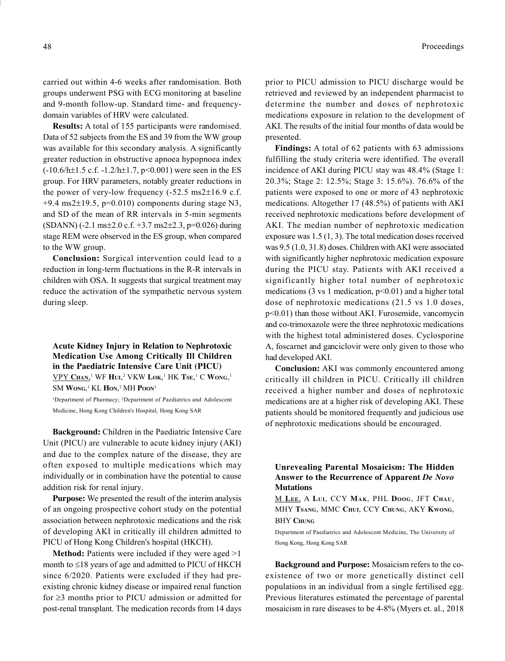carried out within 4-6 weeks after randomisation. Both groups underwent PSG with ECG monitoring at baseline and 9-month follow-up. Standard time- and frequencydomain variables of HRV were calculated.

Results: A total of 155 participants were randomised. Data of 52 subjects from the ES and 39 from the WW group was available for this secondary analysis. A significantly greater reduction in obstructive apnoea hypopnoea index  $(-10.6/h \pm 1.5 \text{ c.f. } -1.2/h \pm 1.7, \text{ p} < 0.001)$  were seen in the ES group. For HRV parameters, notably greater reductions in the power of very-low frequency  $(-52.5 \text{ ms}2 \pm 16.9 \text{ c.f.})$  $+9.4$  ms2 $\pm$ 19.5, p=0.010) components during stage N3, and SD of the mean of RR intervals in 5-min segments  $(SDANN)$  (-2.1 ms $\pm$ 2.0 c.f. +3.7 ms2 $\pm$ 2.3, p=0.026) during stage REM were observed in the ES group, when compared to the WW group.

Conclusion: Surgical intervention could lead to a reduction in long-term fluctuations in the R-R intervals in children with OSA. It suggests that surgical treatment may reduce the activation of the sympathetic nervous system during sleep.

Acute Kidney Injury in Relation to Nephrotoxic Medication Use Among Critically Ill Children in the Paediatric Intensive Care Unit (PICU)  $\underline{\text{VPY CHan}, }^1 \text{ WF Hui, }^2 \text{ VKW Lok, }^1 \text{ HK Tse, }^1 \text{ C } \text{Wong,}^1$ 

SM Wong,<sup>1</sup> KL Hon,<sup>2</sup> MH Poon<sup>1</sup>

<sup>1</sup>Department of Pharmacy; <sup>2</sup>Department of Paediatrics and Adolescent Medicine, Hong Kong Children's Hospital, Hong Kong SAR

Background: Children in the Paediatric Intensive Care Unit (PICU) are vulnerable to acute kidney injury (AKI) and due to the complex nature of the disease, they are often exposed to multiple medications which may individually or in combination have the potential to cause addition risk for renal injury.

Purpose: We presented the result of the interim analysis of an ongoing prospective cohort study on the potential association between nephrotoxic medications and the risk of developing AKI in critically ill children admitted to PICU of Hong Kong Children's hospital (HKCH).

Method: Patients were included if they were aged >1 month to  $\leq$ 18 years of age and admitted to PICU of HKCH since 6/2020. Patients were excluded if they had preexisting chronic kidney disease or impaired renal function for  $\geq$ 3 months prior to PICU admission or admitted for post-renal transplant. The medication records from 14 days prior to PICU admission to PICU discharge would be retrieved and reviewed by an independent pharmacist to determine the number and doses of nephrotoxic medications exposure in relation to the development of AKI. The results of the initial four months of data would be presented.

Findings: A total of 62 patients with 63 admissions fulfilling the study criteria were identified. The overall incidence of AKI during PICU stay was 48.4% (Stage 1: 20.3%; Stage 2: 12.5%; Stage 3: 15.6%). 76.6% of the patients were exposed to one or more of 43 nephrotoxic medications. Altogether 17 (48.5%) of patients with AKI received nephrotoxic medications before development of AKI. The median number of nephrotoxic medication exposure was 1.5 (1, 3). The total medication doses received was 9.5 (1.0, 31.8) doses. Children with AKI were associated with significantly higher nephrotoxic medication exposure during the PICU stay. Patients with AKI received a significantly higher total number of nephrotoxic medications (3 vs 1 medication,  $p<0.01$ ) and a higher total dose of nephrotoxic medications (21.5 vs 1.0 doses, p<0.01) than those without AKI. Furosemide, vancomycin and co-trimoxazole were the three nephrotoxic medications with the highest total administered doses. Cyclosporine A, foscarnet and ganciclovir were only given to those who had developed AKI.

Conclusion: AKI was commonly encountered among critically ill children in PICU. Critically ill children received a higher number and doses of nephrotoxic medications are at a higher risk of developing AKI. These patients should be monitored frequently and judicious use of nephrotoxic medications should be encouraged.

# Unrevealing Parental Mosaicism: The Hidden Answer to the Recurrence of Apparent De Novo Mutations

M LEE, A LUI, CCY MAK, PHL DOOG, JFT CHAU, MHY TSANG, MMC CHUI, CCY CHUNG, AKY KWONG, **BHY CHUNG** 

Department of Paediatrics and Adolescent Medicine, The University of Hong Kong, Hong Kong SAR

Background and Purpose: Mosaicism refers to the coexistence of two or more genetically distinct cell populations in an individual from a single fertilised egg. Previous literatures estimated the percentage of parental mosaicism in rare diseases to be 4-8% (Myers et. al., 2018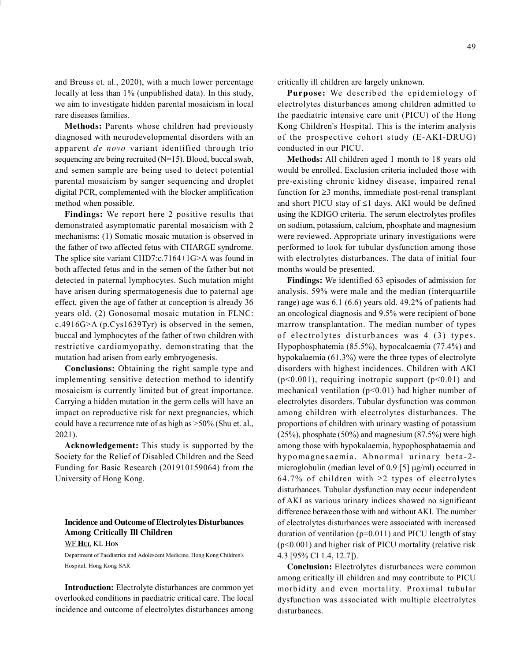and Breuss et. al., 2020), with a much lower percentage locally at less than 1% (unpublished data). In this study, we aim to investigate hidden parental mosaicism in local rare diseases families.

Methods: Parents whose children had previously diagnosed with neurodevelopmental disorders with an apparent de novo variant identified through trio sequencing are being recruited (N=15). Blood, buccal swab, and semen sample are being used to detect potential parental mosaicism by sanger sequencing and droplet digital PCR, complemented with the blocker amplification method when possible.

Findings: We report here 2 positive results that demonstrated asymptomatic parental mosaicism with 2 mechanisms: (1) Somatic mosaic mutation is observed in the father of two affected fetus with CHARGE syndrome. The splice site variant CHD7:c.7164+1G>A was found in both affected fetus and in the semen of the father but not detected in paternal lymphocytes. Such mutation might have arisen during spermatogenesis due to paternal age effect, given the age of father at conception is already 36 years old. (2) Gonosomal mosaic mutation in FLNC: c.4916G>A (p.Cys1639Tyr) is observed in the semen, buccal and lymphocytes of the father of two children with restrictive cardiomyopathy, demonstrating that the mutation had arisen from early embryogenesis.

Conclusions: Obtaining the right sample type and implementing sensitive detection method to identify mosaicism is currently limited but of great importance. Carrying a hidden mutation in the germ cells will have an impact on reproductive risk for next pregnancies, which could have a recurrence rate of as high as >50% (Shu et. al., 2021).

Acknowledgement: This study is supported by the Society for the Relief of Disabled Children and the Seed Funding for Basic Research (201910159064) from the University of Hong Kong.

# Incidence and Outcome of Electrolytes Disturbances Among Critically Ill Children

WF HUI, KL HON

Department of Paediatrics and Adolescent Medicine, Hong Kong Children's Hospital, Hong Kong SAR

Introduction: Electrolyte disturbances are common yet overlooked conditions in paediatric critical care. The local incidence and outcome of electrolytes disturbances among critically ill children are largely unknown.

Purpose: We described the epidemiology of electrolytes disturbances among children admitted to the paediatric intensive care unit (PICU) of the Hong Kong Children's Hospital. This is the interim analysis of the prospective cohort study (E-AKI-DRUG) conducted in our PICU.

Methods: All children aged 1 month to 18 years old would be enrolled. Exclusion criteria included those with pre-existing chronic kidney disease, impaired renal function for  $\geq$ 3 months, immediate post-renal transplant and short PICU stay of  $\leq 1$  days. AKI would be defined using the KDIGO criteria. The serum electrolytes profiles on sodium, potassium, calcium, phosphate and magnesium were reviewed. Appropriate urinary investigations were performed to look for tubular dysfunction among those with electrolytes disturbances. The data of initial four months would be presented.

Findings: We identified 63 episodes of admission for analysis. 59% were male and the median (interquartile range) age was 6.1 (6.6) years old. 49.2% of patients had an oncological diagnosis and 9.5% were recipient of bone marrow transplantation. The median number of types of electrolytes disturbances was 4 (3) types. Hypophosphatemia (85.5%), hypocalcaemia (77.4%) and hypokalaemia (61.3%) were the three types of electrolyte disorders with highest incidences. Children with AKI (p<0.001), requiring inotropic support (p<0.01) and mechanical ventilation  $(p<0.01)$  had higher number of electrolytes disorders. Tubular dysfunction was common among children with electrolytes disturbances. The proportions of children with urinary wasting of potassium (25%), phosphate (50%) and magnesium (87.5%) were high among those with hypokalaemia, hypophosphataemia and hypomagnesaemia. Abnormal urinary beta-2microglobulin (median level of 0.9 [5]  $\mu$ g/ml) occurred in 64.7% of children with  $\geq 2$  types of electrolytes disturbances. Tubular dysfunction may occur independent of AKI as various urinary indices showed no significant difference between those with and without AKI. The number of electrolytes disturbances were associated with increased duration of ventilation  $(p=0.011)$  and PICU length of stay (p<0.001) and higher risk of PICU mortality (relative risk 4.3 [95% CI 1.4, 12.7]).

Conclusion: Electrolytes disturbances were common among critically ill children and may contribute to PICU morbidity and even mortality. Proximal tubular dysfunction was associated with multiple electrolytes disturbances.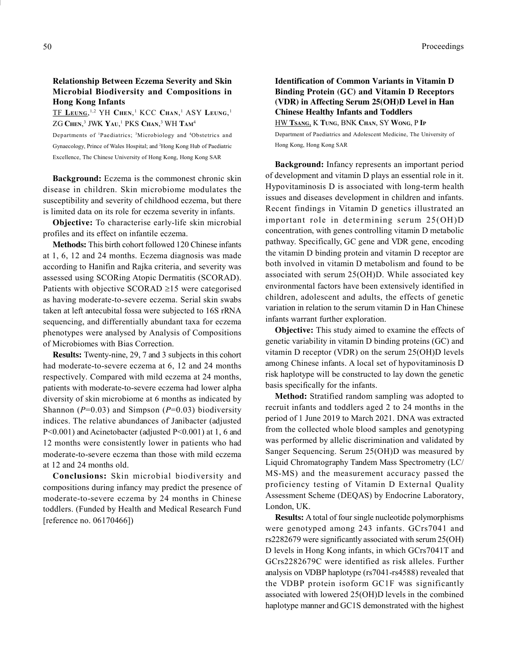## Relationship Between Eczema Severity and Skin Microbial Biodiversity and Compositions in Hong Kong Infants

 $\overline{\text{TF Leung}}, ^{1,2} \text{YH Chen}, ^{1} \text{KCC Chan}, ^{1} \text{ASY Leung}, ^{1}$ ZG Chen, $^3$  JWK Yau, $^1$  PKS Chan, $^3$  WH Tam $^4$ 

Departments of <sup>1</sup>Paediatrics; <sup>3</sup>Microbiology and <sup>4</sup>Obstetrics and Gynaecology, Prince of Wales Hospital; and <sup>2</sup>Hong Kong Hub of Paediatric Excellence, The Chinese University of Hong Kong, Hong Kong SAR

Background: Eczema is the commonest chronic skin disease in children. Skin microbiome modulates the susceptibility and severity of childhood eczema, but there is limited data on its role for eczema severity in infants.

Objective: To characterise early-life skin microbial profiles and its effect on infantile eczema.

Methods: This birth cohort followed 120 Chinese infants at 1, 6, 12 and 24 months. Eczema diagnosis was made according to Hanifin and Rajka criteria, and severity was assessed using SCORing Atopic Dermatitis (SCORAD). Patients with objective SCORAD  $\geq$ 15 were categorised as having moderate-to-severe eczema. Serial skin swabs taken at left antecubital fossa were subjected to 16S rRNA sequencing, and differentially abundant taxa for eczema phenotypes were analysed by Analysis of Compositions of Microbiomes with Bias Correction.

Results: Twenty-nine, 29, 7 and 3 subjects in this cohort had moderate-to-severe eczema at 6, 12 and 24 months respectively. Compared with mild eczema at 24 months, patients with moderate-to-severe eczema had lower alpha diversity of skin microbiome at 6 months as indicated by Shannon ( $P=0.03$ ) and Simpson ( $P=0.03$ ) biodiversity indices. The relative abundances of Janibacter (adjusted P<0.001) and Acinetobacter (adjusted P<0.001) at 1, 6 and 12 months were consistently lower in patients who had moderate-to-severe eczema than those with mild eczema at 12 and 24 months old.

Conclusions: Skin microbial biodiversity and compositions during infancy may predict the presence of moderate-to-severe eczema by 24 months in Chinese toddlers. (Funded by Health and Medical Research Fund [reference no. 06170466])

# Identification of Common Variants in Vitamin D Binding Protein (GC) and Vitamin D Receptors (VDR) in Affecting Serum 25(OH)D Level in Han Chinese Healthy Infants and Toddlers

HW TSANG, K TUNG, BNK CHAN, SY WONG, P IP Department of Paediatrics and Adolescent Medicine, The University of Hong Kong, Hong Kong SAR

Background: Infancy represents an important period of development and vitamin D plays an essential role in it. Hypovitaminosis D is associated with long-term health issues and diseases development in children and infants. Recent findings in Vitamin D genetics illustrated an important role in determining serum 25(OH)D concentration, with genes controlling vitamin D metabolic pathway. Specifically, GC gene and VDR gene, encoding the vitamin D binding protein and vitamin D receptor are both involved in vitamin D metabolism and found to be associated with serum 25(OH)D. While associated key environmental factors have been extensively identified in children, adolescent and adults, the effects of genetic variation in relation to the serum vitamin D in Han Chinese infants warrant further exploration.

Objective: This study aimed to examine the effects of genetic variability in vitamin D binding proteins (GC) and vitamin D receptor (VDR) on the serum 25(OH)D levels among Chinese infants. A local set of hypovitaminosis D risk haplotype will be constructed to lay down the genetic basis specifically for the infants.

Method: Stratified random sampling was adopted to recruit infants and toddlers aged 2 to 24 months in the period of 1 June 2019 to March 2021. DNA was extracted from the collected whole blood samples and genotyping was performed by allelic discrimination and validated by Sanger Sequencing. Serum 25(OH)D was measured by Liquid Chromatography Tandem Mass Spectrometry (LC/ MS-MS) and the measurement accuracy passed the proficiency testing of Vitamin D External Quality Assessment Scheme (DEQAS) by Endocrine Laboratory, London, UK.

Results: A total of four single nucleotide polymorphisms were genotyped among 243 infants. GCrs7041 and rs2282679 were significantly associated with serum 25(OH) D levels in Hong Kong infants, in which GCrs7041T and GCrs2282679C were identified as risk alleles. Further analysis on VDBP haplotype (rs7041-rs4588) revealed that the VDBP protein isoform GC1F was significantly associated with lowered 25(OH)D levels in the combined haplotype manner and GC1S demonstrated with the highest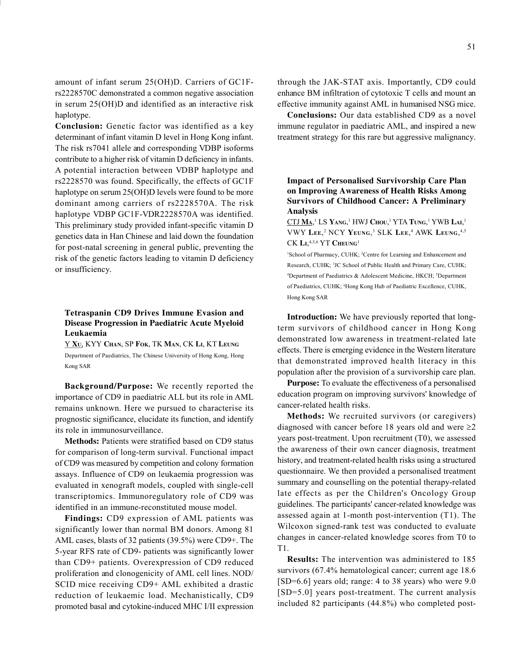amount of infant serum 25(OH)D. Carriers of GC1Frs2228570C demonstrated a common negative association in serum 25(OH)D and identified as an interactive risk haplotype.

Conclusion: Genetic factor was identified as a key determinant of infant vitamin D level in Hong Kong infant. The risk rs7041 allele and corresponding VDBP isoforms contribute to a higher risk of vitamin D deficiency in infants. A potential interaction between VDBP haplotype and rs2228570 was found. Specifically, the effects of GC1F haplotype on serum 25(OH)D levels were found to be more dominant among carriers of rs2228570A. The risk haplotype VDBP GC1F-VDR2228570A was identified. This preliminary study provided infant-specific vitamin D genetics data in Han Chinese and laid down the foundation for post-natal screening in general public, preventing the risk of the genetic factors leading to vitamin D deficiency or insufficiency.

# Tetraspanin CD9 Drives Immune Evasion and Disease Progression in Paediatric Acute Myeloid Leukaemia

Y XU, KYY CHAN, SP FOK, TK MAN, CK LI, KT LEUNG Department of Paediatrics, The Chinese University of Hong Kong, Hong Kong SAR

Background/Purpose: We recently reported the importance of CD9 in paediatric ALL but its role in AML remains unknown. Here we pursued to characterise its prognostic significance, elucidate its function, and identify its role in immunosurveillance.

Methods: Patients were stratified based on CD9 status for comparison of long-term survival. Functional impact of CD9 was measured by competition and colony formation assays. Influence of CD9 on leukaemia progression was evaluated in xenograft models, coupled with single-cell transcriptomics. Immunoregulatory role of CD9 was identified in an immune-reconstituted mouse model.

Findings: CD9 expression of AML patients was significantly lower than normal BM donors. Among 81 AML cases, blasts of 32 patients (39.5%) were CD9+. The 5-year RFS rate of CD9- patients was significantly lower than CD9+ patients. Overexpression of CD9 reduced proliferation and clonogenicity of AML cell lines. NOD/ SCID mice receiving CD9+ AML exhibited a drastic reduction of leukaemic load. Mechanistically, CD9 promoted basal and cytokine-induced MHC I/II expression

through the JAK-STAT axis. Importantly, CD9 could enhance BM infiltration of cytotoxic T cells and mount an effective immunity against AML in humanised NSG mice.

Conclusions: Our data established CD9 as a novel immune regulator in paediatric AML, and inspired a new treatment strategy for this rare but aggressive malignancy.

Impact of Personalised Survivorship Care Plan on Improving Awareness of Health Risks Among Survivors of Childhood Cancer: A Preliminary Analysis

 $\overline{\text{CTJ M}\text{A}}, ^{1}\text{LS Y}$ аng, $^{1}\text{HWJ C}$ ноu, $^{1}\text{YTA T}$ ung, $^{1}\text{YWB L}\text{A}\text{I}, ^{1}\text{}$ VWY LEE,<sup>2</sup> NCY YEUNG,<sup>3</sup> SLK LEE,<sup>4</sup> AWK LEUNG,<sup>4,5</sup>  $CK L<sub>I</sub>,<sup>4,5,6</sup> <sup>YT</sup>$  Cheung<sup>1</sup>

<sup>1</sup>School of Pharmacy, CUHK; <sup>2</sup>Centre for Learning and Enhancement and Research, CUHK; <sup>3</sup>JC School of Public Health and Primary Care, CUHK; <sup>4</sup>Department of Paediatrics & Adolescent Medicine, HKCH; <sup>5</sup>Department of Paediatrics, CUHK; <sup>6</sup>Hong Kong Hub of Paediatric Excellence, CUHK, Hong Kong SAR

Introduction: We have previously reported that longterm survivors of childhood cancer in Hong Kong demonstrated low awareness in treatment-related late effects. There is emerging evidence in the Western literature that demonstrated improved health literacy in this population after the provision of a survivorship care plan.

Purpose: To evaluate the effectiveness of a personalised education program on improving survivors' knowledge of cancer-related health risks.

Methods: We recruited survivors (or caregivers) diagnosed with cancer before 18 years old and were  $\geq 2$ years post-treatment. Upon recruitment (T0), we assessed the awareness of their own cancer diagnosis, treatment history, and treatment-related health risks using a structured questionnaire. We then provided a personalised treatment summary and counselling on the potential therapy-related late effects as per the Children's Oncology Group guidelines. The participants' cancer-related knowledge was assessed again at 1-month post-intervention (T1). The Wilcoxon signed-rank test was conducted to evaluate changes in cancer-related knowledge scores from T0 to T1.

Results: The intervention was administered to 185 survivors (67.4% hematological cancer; current age 18.6 [SD=6.6] years old; range: 4 to 38 years) who were 9.0 [SD=5.0] years post-treatment. The current analysis included 82 participants (44.8%) who completed post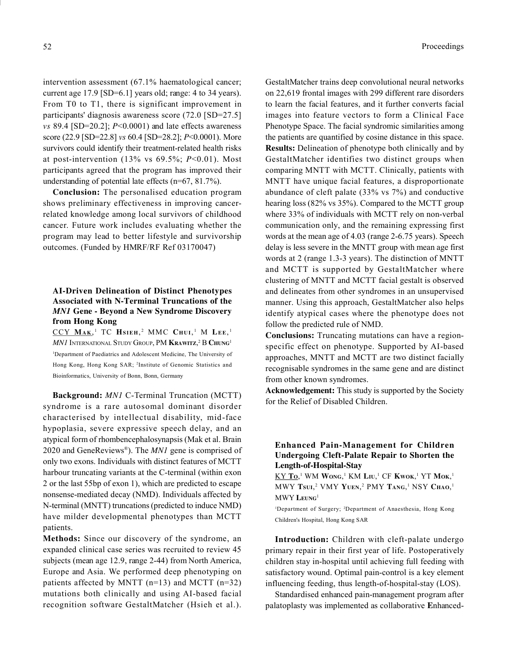intervention assessment (67.1% haematological cancer; current age 17.9 [SD=6.1] years old; range: 4 to 34 years). From T0 to T1, there is significant improvement in participants' diagnosis awareness score (72.0 [SD=27.5] vs 89.4 [SD=20.2];  $P<0.0001$ ) and late effects awareness score (22.9 [SD=22.8] vs 60.4 [SD=28.2]; P<0.0001). More survivors could identify their treatment-related health risks at post-intervention (13% vs  $69.5\%$ ;  $P<0.01$ ). Most participants agreed that the program has improved their understanding of potential late effects (n=67, 81.7%).

Conclusion: The personalised education program shows preliminary effectiveness in improving cancerrelated knowledge among local survivors of childhood cancer. Future work includes evaluating whether the program may lead to better lifestyle and survivorship outcomes. (Funded by HMRF/RF Ref 03170047)

# AI-Driven Delineation of Distinct Phenotypes Associated with N-Terminal Truncations of the MN1 Gene - Beyond a New Syndrome Discovery from Hong Kong

 $\overline{\text{CCY M}_{AK}}$ <sup>1</sup> TC Hsieh,<sup>2</sup> MMC Chui,<sup>1</sup> M Lee,<sup>1</sup>  $M\!N\!I$  International Study Group, PM Krawitz, $^2$  B Chung $^1$ <sup>1</sup>Department of Paediatrics and Adolescent Medicine, The University of Hong Kong, Hong Kong SAR; <sup>2</sup> Institute of Genomic Statistics and Bioinformatics, University of Bonn, Bonn, Germany

Background: MN1 C-Terminal Truncation (MCTT) syndrome is a rare autosomal dominant disorder characterised by intellectual disability, mid-face hypoplasia, severe expressive speech delay, and an atypical form of rhombencephalosynapsis (Mak et al. Brain 2020 and GeneReviews®). The *MN1* gene is comprised of only two exons. Individuals with distinct features of MCTT harbour truncating variants at the C-terminal (within exon 2 or the last 55bp of exon 1), which are predicted to escape nonsense-mediated decay (NMD). Individuals affected by N-terminal (MNTT) truncations (predicted to induce NMD) have milder developmental phenotypes than MCTT patients.

Methods: Since our discovery of the syndrome, an expanded clinical case series was recruited to review 45 subjects (mean age 12.9, range 2-44) from North America, Europe and Asia. We performed deep phenotyping on patients affected by MNTT (n=13) and MCTT (n=32) mutations both clinically and using AI-based facial recognition software GestaltMatcher (Hsieh et al.). GestaltMatcher trains deep convolutional neural networks on 22,619 frontal images with 299 different rare disorders to learn the facial features, and it further converts facial images into feature vectors to form a Clinical Face Phenotype Space. The facial syndromic similarities among the patients are quantified by cosine distance in this space. Results: Delineation of phenotype both clinically and by GestaltMatcher identifies two distinct groups when comparing MNTT with MCTT. Clinically, patients with MNTT have unique facial features, a disproportionate abundance of cleft palate (33% vs 7%) and conductive hearing loss (82% vs 35%). Compared to the MCTT group where 33% of individuals with MCTT rely on non-verbal communication only, and the remaining expressing first words at the mean age of 4.03 (range 2-6.75 years). Speech delay is less severe in the MNTT group with mean age first words at 2 (range 1.3-3 years). The distinction of MNTT and MCTT is supported by GestaltMatcher where clustering of MNTT and MCTT facial gestalt is observed and delineates from other syndromes in an unsupervised manner. Using this approach, GestaltMatcher also helps identify atypical cases where the phenotype does not follow the predicted rule of NMD.

Conclusions: Truncating mutations can have a regionspecific effect on phenotype. Supported by AI-based approaches, MNTT and MCTT are two distinct facially recognisable syndromes in the same gene and are distinct from other known syndromes.

Acknowledgement: This study is supported by the Society for the Relief of Disabled Children.

# Enhanced Pain-Management for Children Undergoing Cleft-Palate Repair to Shorten the Length-of-Hospital-Stay

 $\underline{\text{KY To}}$ ,<sup>1</sup> WM Wong,<sup>1</sup> KM Liu,<sup>1</sup> CF **K**wok,<sup>1</sup> YT Mok,<sup>1</sup> MWY Tsui,<sup>2</sup> VMY Yuen,<sup>2</sup> PMY Tang,<sup>1</sup> NSY Chao,<sup>1</sup> MWY LEUNG<sup>1</sup>

<sup>1</sup>Department of Surgery; <sup>2</sup>Department of Anaesthesia, Hong Kong Children's Hospital, Hong Kong SAR

Introduction: Children with cleft-palate undergo primary repair in their first year of life. Postoperatively children stay in-hospital until achieving full feeding with satisfactory wound. Optimal pain-control is a key element influencing feeding, thus length-of-hospital-stay (LOS).

Standardised enhanced pain-management program after palatoplasty was implemented as collaborative Enhanced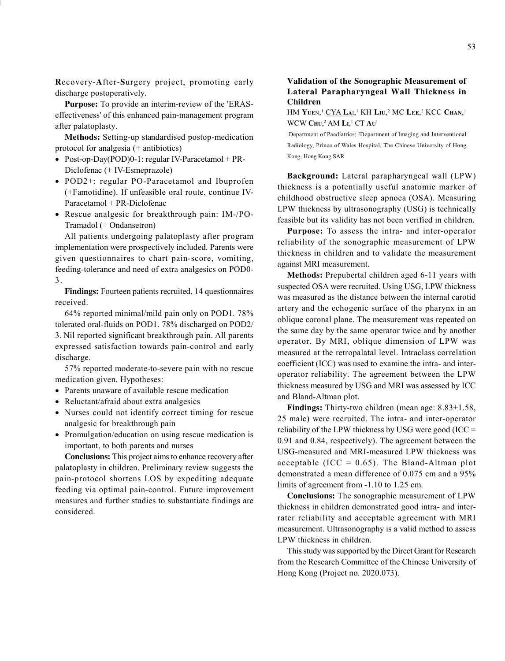Recovery-After-Surgery project, promoting early discharge postoperatively.

Purpose: To provide an interim-review of the 'ERASeffectiveness' of this enhanced pain-management program after palatoplasty.

Methods: Setting-up standardised postop-medication protocol for analgesia (+ antibiotics)

- Post-op-Day(POD)0-1: regular IV-Paracetamol + PR-Diclofenac (+ IV-Esmeprazole)
- POD2+: regular PO-Paracetamol and Ibuprofen (+Famotidine). If unfeasible oral route, continue IV-Paracetamol + PR-Diclofenac
- Rescue analgesic for breakthrough pain: IM-/PO-Tramadol (+ Ondansetron)

All patients undergoing palatoplasty after program implementation were prospectively included. Parents were given questionnaires to chart pain-score, vomiting, feeding-tolerance and need of extra analgesics on POD0- 3.

Findings: Fourteen patients recruited, 14 questionnaires received.

64% reported minimal/mild pain only on POD1. 78% tolerated oral-fluids on POD1. 78% discharged on POD2/ 3. Nil reported significant breakthrough pain. All parents expressed satisfaction towards pain-control and early discharge.

57% reported moderate-to-severe pain with no rescue medication given. Hypotheses:

- Parents unaware of available rescue medication
- Reluctant/afraid about extra analgesics
- Nurses could not identify correct timing for rescue analgesic for breakthrough pain
- Promulgation/education on using rescue medication is important, to both parents and nurses

Conclusions: This project aims to enhance recovery after palatoplasty in children. Preliminary review suggests the pain-protocol shortens LOS by expediting adequate feeding via optimal pain-control. Future improvement measures and further studies to substantiate findings are considered.

## Validation of the Sonographic Measurement of Lateral Parapharyngeal Wall Thickness in Children

HM Yuen,<sup>1</sup> <u>CYA Lai</u>,<sup>1</sup> KH Liu,<sup>2</sup> MC Lee,<sup>2</sup> KCC Chan,<sup>1</sup> WCW  $\text{CHU},^2$  AM  $\text{Li}^1$  CT  $\text{Au}^1$ 

<sup>1</sup>Department of Paediatrics; <sup>2</sup>Department of Imaging and Interventional Radiology, Prince of Wales Hospital, The Chinese University of Hong Kong, Hong Kong SAR

Background: Lateral parapharyngeal wall (LPW) thickness is a potentially useful anatomic marker of childhood obstructive sleep apnoea (OSA). Measuring LPW thickness by ultrasonography (USG) is technically feasible but its validity has not been verified in children.

Purpose: To assess the intra- and inter-operator reliability of the sonographic measurement of LPW thickness in children and to validate the measurement against MRI measurement.

Methods: Prepubertal children aged 6-11 years with suspected OSA were recruited. Using USG, LPW thickness was measured as the distance between the internal carotid artery and the echogenic surface of the pharynx in an oblique coronal plane. The measurement was repeated on the same day by the same operator twice and by another operator. By MRI, oblique dimension of LPW was measured at the retropalatal level. Intraclass correlation coefficient (ICC) was used to examine the intra- and interoperator reliability. The agreement between the LPW thickness measured by USG and MRI was assessed by ICC and Bland-Altman plot.

**Findings:** Thirty-two children (mean age:  $8.83 \pm 1.58$ , 25 male) were recruited. The intra- and inter-operator reliability of the LPW thickness by USG were good (ICC  $=$ 0.91 and 0.84, respectively). The agreement between the USG-measured and MRI-measured LPW thickness was acceptable  $(ICC = 0.65)$ . The Bland-Altman plot demonstrated a mean difference of 0.075 cm and a 95% limits of agreement from -1.10 to 1.25 cm.

Conclusions: The sonographic measurement of LPW thickness in children demonstrated good intra- and interrater reliability and acceptable agreement with MRI measurement. Ultrasonography is a valid method to assess LPW thickness in children.

This study was supported by the Direct Grant for Research from the Research Committee of the Chinese University of Hong Kong (Project no. 2020.073).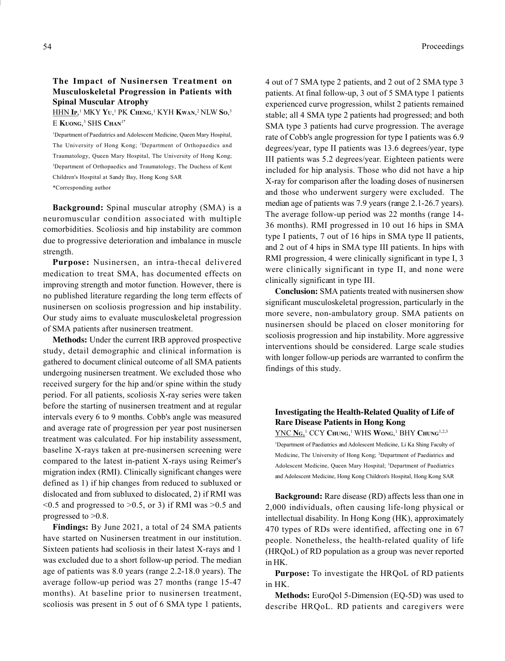#### HHN **I**p,<sup>1</sup> MKY Yu,<sup>1</sup> PK Cheng,<sup>1</sup> KYH **K**wan,<sup>2</sup> NLW So,<sup>3</sup> E Kuong,<sup>3</sup> SHS Chan<sup>1\*</sup>

<sup>1</sup>Department of Paediatrics and Adolescent Medicine, Queen Mary Hospital, The University of Hong Kong; <sup>2</sup>Department of Orthopaedics and Traumatology, Queen Mary Hospital, The University of Hong Kong; <sup>3</sup>Department of Orthopaedics and Traumatology, The Duchess of Kent Children's Hospital at Sandy Bay, Hong Kong SAR \*Corresponding author

Background: Spinal muscular atrophy (SMA) is a neuromuscular condition associated with multiple comorbidities. Scoliosis and hip instability are common due to progressive deterioration and imbalance in muscle strength.

Purpose: Nusinersen, an intra-thecal delivered medication to treat SMA, has documented effects on improving strength and motor function. However, there is no published literature regarding the long term effects of nusinersen on scoliosis progression and hip instability. Our study aims to evaluate musculoskeletal progression of SMA patients after nusinersen treatment.

Methods: Under the current IRB approved prospective study, detail demographic and clinical information is gathered to document clinical outcome of all SMA patients undergoing nusinersen treatment. We excluded those who received surgery for the hip and/or spine within the study period. For all patients, scoliosis X-ray series were taken before the starting of nusinersen treatment and at regular intervals every 6 to 9 months. Cobb's angle was measured and average rate of progression per year post nusinersen treatment was calculated. For hip instability assessment, baseline X-rays taken at pre-nusinersen screening were compared to the latest in-patient X-rays using Reimer's migration index (RMI). Clinically significant changes were defined as 1) if hip changes from reduced to subluxed or dislocated and from subluxed to dislocated, 2) if RMI was  $<$  0.5 and progressed to  $>$  0.5, or 3) if RMI was  $>$  0.5 and progressed to >0.8.

Findings: By June 2021, a total of 24 SMA patients have started on Nusinersen treatment in our institution. Sixteen patients had scoliosis in their latest X-rays and 1 was excluded due to a short follow-up period. The median age of patients was 8.0 years (range 2.2-18.0 years). The average follow-up period was 27 months (range 15-47 months). At baseline prior to nusinersen treatment, scoliosis was present in 5 out of 6 SMA type 1 patients,

4 out of 7 SMA type 2 patients, and 2 out of 2 SMA type 3 patients. At final follow-up, 3 out of 5 SMA type 1 patients experienced curve progression, whilst 2 patients remained stable; all 4 SMA type 2 patients had progressed; and both SMA type 3 patients had curve progression. The average rate of Cobb's angle progression for type I patients was 6.9 degrees/year, type II patients was 13.6 degrees/year, type III patients was 5.2 degrees/year. Eighteen patients were included for hip analysis. Those who did not have a hip X-ray for comparison after the loading doses of nusinersen and those who underwent surgery were excluded. The median age of patients was 7.9 years (range 2.1-26.7 years). The average follow-up period was 22 months (range 14- 36 months). RMI progressed in 10 out 16 hips in SMA type I patients, 7 out of 16 hips in SMA type II patients, and 2 out of 4 hips in SMA type III patients. In hips with RMI progression, 4 were clinically significant in type I, 3 were clinically significant in type II, and none were clinically significant in type III.

Conclusion: SMA patients treated with nusinersen show significant musculoskeletal progression, particularly in the more severe, non-ambulatory group. SMA patients on nusinersen should be placed on closer monitoring for scoliosis progression and hip instability. More aggressive interventions should be considered. Large scale studies with longer follow-up periods are warranted to confirm the findings of this study.

#### Investigating the Health-Related Quality of Life of Rare Disease Patients in Hong Kong

YNC Ng,<sup>1</sup> CCY Chung,<sup>1</sup> WHS Wong,<sup>1</sup> BHY Chung<sup>1,2,3</sup> <sup>1</sup>Department of Paediatrics and Adolescent Medicine, Li Ka Shing Faculty of Medicine, The University of Hong Kong; <sup>2</sup>Department of Paediatrics and Adolescent Medicine, Queen Mary Hospital; <sup>3</sup>Department of Paediatrics and Adolescent Medicine, Hong Kong Children's Hospital, Hong Kong SAR

Background: Rare disease (RD) affects less than one in 2,000 individuals, often causing life-long physical or intellectual disability. In Hong Kong (HK), approximately 470 types of RDs were identified, affecting one in 67 people. Nonetheless, the health-related quality of life (HRQoL) of RD population as a group was never reported in HK.

Purpose: To investigate the HRQoL of RD patients in HK.

Methods: EuroQol 5-Dimension (EQ-5D) was used to describe HRQoL. RD patients and caregivers were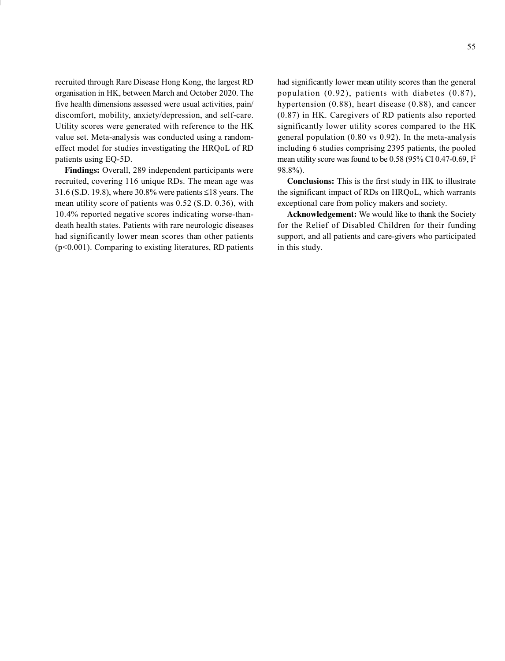recruited through Rare Disease Hong Kong, the largest RD organisation in HK, between March and October 2020. The five health dimensions assessed were usual activities, pain/ discomfort, mobility, anxiety/depression, and self-care. Utility scores were generated with reference to the HK value set. Meta-analysis was conducted using a randomeffect model for studies investigating the HRQoL of RD patients using EQ-5D.

Findings: Overall, 289 independent participants were recruited, covering 116 unique RDs. The mean age was 31.6 (S.D. 19.8), where 30.8% were patients  $\leq$ 18 years. The mean utility score of patients was 0.52 (S.D. 0.36), with 10.4% reported negative scores indicating worse-thandeath health states. Patients with rare neurologic diseases had significantly lower mean scores than other patients (p<0.001). Comparing to existing literatures, RD patients

had significantly lower mean utility scores than the general population (0.92), patients with diabetes (0.87), hypertension (0.88), heart disease (0.88), and cancer (0.87) in HK. Caregivers of RD patients also reported significantly lower utility scores compared to the HK general population (0.80 vs 0.92). In the meta-analysis including 6 studies comprising 2395 patients, the pooled mean utility score was found to be 0.58 (95% CI 0.47-0.69, I<sup>2</sup> 98.8%).

Conclusions: This is the first study in HK to illustrate the significant impact of RDs on HRQoL, which warrants exceptional care from policy makers and society.

Acknowledgement: We would like to thank the Society for the Relief of Disabled Children for their funding support, and all patients and care-givers who participated in this study.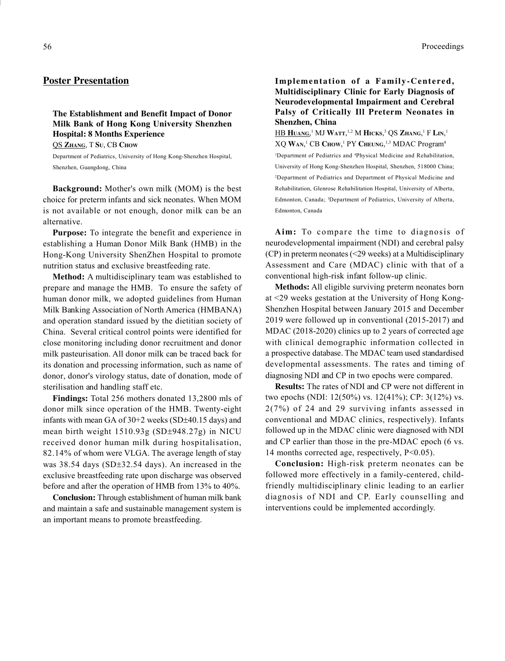# Poster Presentation

# The Establishment and Benefit Impact of Donor Milk Bank of Hong Kong University Shenzhen Hospital: 8 Months Experience

QS ZHANG, T SU, CB CHOW

Department of Pediatrics, University of Hong Kong-Shenzhen Hospital, Shenzhen, Guangdong, China

Background: Mother's own milk (MOM) is the best choice for preterm infants and sick neonates. When MOM is not available or not enough, donor milk can be an alternative.

Purpose: To integrate the benefit and experience in establishing a Human Donor Milk Bank (HMB) in the Hong-Kong University ShenZhen Hospital to promote nutrition status and exclusive breastfeeding rate.

Method: A multidisciplinary team was established to prepare and manage the HMB. To ensure the safety of human donor milk, we adopted guidelines from Human Milk Banking Association of North America (HMBANA) and operation standard issued by the dietitian society of China. Several critical control points were identified for close monitoring including donor recruitment and donor milk pasteurisation. All donor milk can be traced back for its donation and processing information, such as name of donor, donor's virology status, date of donation, mode of sterilisation and handling staff etc.

Findings: Total 256 mothers donated 13,2800 mls of donor milk since operation of the HMB. Twenty-eight infants with mean GA of  $30+2$  weeks (SD $\pm$ 40.15 days) and mean birth weight  $1510.93g$  (SD $\pm$ 948.27g) in NICU received donor human milk during hospitalisation, 82.14% of whom were VLGA. The average length of stay was  $38.54$  days (SD $\pm 32.54$  days). An increased in the exclusive breastfeeding rate upon discharge was observed before and after the operation of HMB from 13% to 40%.

Conclusion: Through establishment of human milk bank and maintain a safe and sustainable management system is an important means to promote breastfeeding.

## Implementation of a Family-Centered, Multidisciplinary Clinic for Early Diagnosis of Neurodevelopmental Impairment and Cerebral Palsy of Critically Ill Preterm Neonates in Shenzhen, China

HB Huang,<sup>1</sup> MJ Watt,<sup>1,2</sup> M Hicks,<sup>3</sup> QS Zhang,<sup>1</sup> F Lin,<sup>1</sup> XQ WAN,<sup>1</sup> CB Chow,<sup>1</sup> PY Cheung,<sup>1,3</sup> MDAC Program<sup>4</sup> <sup>1</sup>Department of Pediatrics and <sup>4</sup>Physical Medicine and Rehabilitation, University of Hong Kong-Shenzhen Hospital, Shenzhen, 518000 China; <sup>2</sup>Department of Pediatrics and Department of Physical Medicine and Rehabilitation, Glenrose Rehabilitation Hospital, University of Alberta, Edmonton, Canada; <sup>3</sup>Department of Pediatrics, University of Alberta, Edmonton, Canada

Aim: To compare the time to diagnosis of neurodevelopmental impairment (NDI) and cerebral palsy (CP) in preterm neonates (<29 weeks) at a Multidisciplinary Assessment and Care (MDAC) clinic with that of a conventional high-risk infant follow-up clinic.

Methods: All eligible surviving preterm neonates born at <29 weeks gestation at the University of Hong Kong-Shenzhen Hospital between January 2015 and December 2019 were followed up in conventional (2015-2017) and MDAC (2018-2020) clinics up to 2 years of corrected age with clinical demographic information collected in a prospective database. The MDAC team used standardised developmental assessments. The rates and timing of diagnosing NDI and CP in two epochs were compared.

Results: The rates of NDI and CP were not different in two epochs (NDI: 12(50%) vs. 12(41%); CP: 3(12%) vs. 2(7%) of 24 and 29 surviving infants assessed in conventional and MDAC clinics, respectively). Infants followed up in the MDAC clinic were diagnosed with NDI and CP earlier than those in the pre-MDAC epoch (6 vs. 14 months corrected age, respectively, P<0.05).

Conclusion: High-risk preterm neonates can be followed more effectively in a family-centered, childfriendly multidisciplinary clinic leading to an earlier diagnosis of NDI and CP. Early counselling and interventions could be implemented accordingly.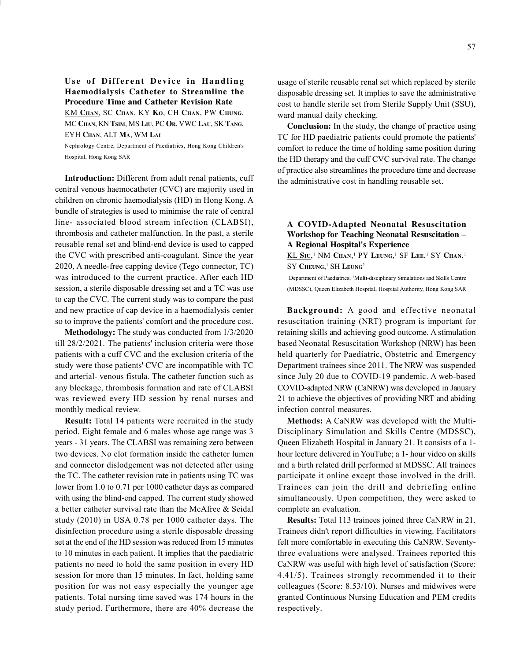# Use of Different Device in Handling Haemodialysis Catheter to Streamline the Procedure Time and Catheter Revision Rate

KM CHAN, SC CHAN, KY KO, CH CHAN, PW CHUNG, MC CHAN, KN TSIM, MS LIU, PC OR, VWC LAU, SK TANG, EYH CHAN, ALT MA, WM LAI

Nephrology Centre, Department of Paediatrics, Hong Kong Children's Hospital, Hong Kong SAR

Introduction: Different from adult renal patients, cuff central venous haemocatheter (CVC) are majority used in children on chronic haemodialysis (HD) in Hong Kong. A bundle of strategies is used to minimise the rate of central line- associated blood stream infection (CLABSI), thrombosis and catheter malfunction. In the past, a sterile reusable renal set and blind-end device is used to capped the CVC with prescribed anti-coagulant. Since the year 2020, A needle-free capping device (Tego connector, TC) was introduced to the current practice. After each HD session, a sterile disposable dressing set and a TC was use to cap the CVC. The current study was to compare the past and new practice of cap device in a haemodialysis center so to improve the patients' comfort and the procedure cost.

Methodology: The study was conducted from 1/3/2020 till 28/2/2021. The patients' inclusion criteria were those patients with a cuff CVC and the exclusion criteria of the study were those patients' CVC are incompatible with TC and arterial- venous fistula. The catheter function such as any blockage, thrombosis formation and rate of CLABSI was reviewed every HD session by renal nurses and monthly medical review.

Result: Total 14 patients were recruited in the study period. Eight female and 6 males whose age range was 3 years - 31 years. The CLABSI was remaining zero between two devices. No clot formation inside the catheter lumen and connector dislodgement was not detected after using the TC. The catheter revision rate in patients using TC was lower from 1.0 to 0.71 per 1000 catheter days as compared with using the blind-end capped. The current study showed a better catheter survival rate than the McAfree & Seidal study (2010) in USA 0.78 per 1000 catheter days. The disinfection procedure using a sterile disposable dressing set at the end of the HD session was reduced from 15 minutes to 10 minutes in each patient. It implies that the paediatric patients no need to hold the same position in every HD session for more than 15 minutes. In fact, holding same position for was not easy especially the younger age patients. Total nursing time saved was 174 hours in the study period. Furthermore, there are 40% decrease the

usage of sterile reusable renal set which replaced by sterile disposable dressing set. It implies to save the administrative cost to handle sterile set from Sterile Supply Unit (SSU), ward manual daily checking.

Conclusion: In the study, the change of practice using TC for HD paediatric patients could promote the patients' comfort to reduce the time of holding same position during the HD therapy and the cuff CVC survival rate. The change of practice also streamlines the procedure time and decrease the administrative cost in handling reusable set.

# A COVID-Adapted Neonatal Resuscitation Workshop for Teaching Neonatal Resuscitation A Regional Hospital's Experience

KL Siu,<sup>1</sup> NM Chan,<sup>1</sup> PY Leung,<sup>1</sup> SF Lee,<sup>1</sup> SY Chan,<sup>1</sup> SY CHEUNG,<sup>1</sup> SH LEUNG<sup>2</sup>

<sup>1</sup>Department of Paediatrics; <sup>2</sup>Multi-disciplinary Simulations and Skills Centre (MDSSC), Queen Elizabeth Hospital, Hospital Authority, Hong Kong SAR

Background: A good and effective neonatal resuscitation training (NRT) program is important for retaining skills and achieving good outcome. A stimulation based Neonatal Resuscitation Workshop (NRW) has been held quarterly for Paediatric, Obstetric and Emergency Department trainees since 2011. The NRW was suspended since July 20 due to COVID-19 pandemic. A web-based COVID-adapted NRW (CaNRW) was developed in January 21 to achieve the objectives of providing NRT and abiding infection control measures.

Methods: A CaNRW was developed with the Multi-Disciplinary Simulation and Skills Centre (MDSSC), Queen Elizabeth Hospital in January 21. It consists of a 1 hour lecture delivered in YouTube; a 1- hour video on skills and a birth related drill performed at MDSSC. All trainees participate it online except those involved in the drill. Trainees can join the drill and debriefing online simultaneously. Upon competition, they were asked to complete an evaluation.

Results: Total 113 trainees joined three CaNRW in 21. Trainees didn't report difficulties in viewing. Facilitators felt more comfortable in executing this CaNRW. Seventythree evaluations were analysed. Trainees reported this CaNRW was useful with high level of satisfaction (Score: 4.41/5). Trainees strongly recommended it to their colleagues (Score: 8.53/10). Nurses and midwives were granted Continuous Nursing Education and PEM credits respectively.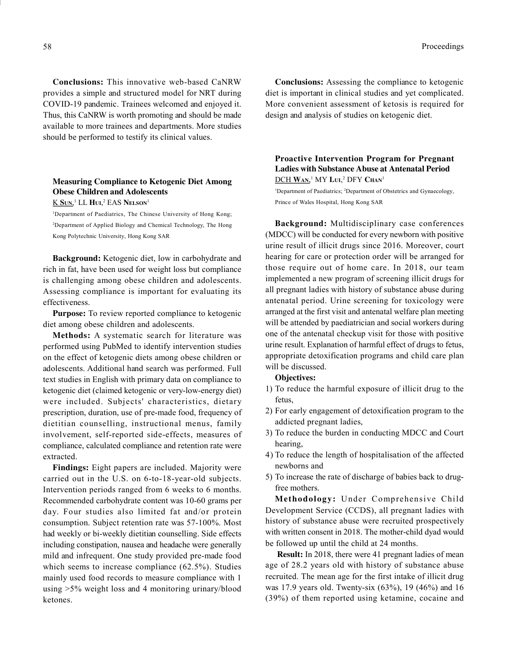Conclusions: This innovative web-based CaNRW provides a simple and structured model for NRT during COVID-19 pandemic. Trainees welcomed and enjoyed it. Thus, this CaNRW is worth promoting and should be made available to more trainees and departments. More studies should be performed to testify its clinical values.

# Measuring Compliance to Ketogenic Diet Among Obese Children and Adolescents

<u>K Sun</u>,<sup>1</sup> LL Hui,<sup>2</sup> EAS Nelson<sup>1</sup>

<sup>1</sup>Department of Paediatrics, The Chinese University of Hong Kong; <sup>2</sup>Department of Applied Biology and Chemical Technology, The Hong Kong Polytechnic University, Hong Kong SAR

Background: Ketogenic diet, low in carbohydrate and rich in fat, have been used for weight loss but compliance is challenging among obese children and adolescents. Assessing compliance is important for evaluating its effectiveness.

Purpose: To review reported compliance to ketogenic diet among obese children and adolescents.

Methods: A systematic search for literature was performed using PubMed to identify intervention studies on the effect of ketogenic diets among obese children or adolescents. Additional hand search was performed. Full text studies in English with primary data on compliance to ketogenic diet (claimed ketogenic or very-low-energy diet) were included. Subjects' characteristics, dietary prescription, duration, use of pre-made food, frequency of dietitian counselling, instructional menus, family involvement, self-reported side-effects, measures of compliance, calculated compliance and retention rate were extracted.

Findings: Eight papers are included. Majority were carried out in the U.S. on 6-to-18-year-old subjects. Intervention periods ranged from 6 weeks to 6 months. Recommended carbohydrate content was 10-60 grams per day. Four studies also limited fat and/or protein consumption. Subject retention rate was 57-100%. Most had weekly or bi-weekly dietitian counselling. Side effects including constipation, nausea and headache were generally mild and infrequent. One study provided pre-made food which seems to increase compliance (62.5%). Studies mainly used food records to measure compliance with 1 using >5% weight loss and 4 monitoring urinary/blood ketones.

Conclusions: Assessing the compliance to ketogenic diet is important in clinical studies and yet complicated. More convenient assessment of ketosis is required for design and analysis of studies on ketogenic diet.

# Proactive Intervention Program for Pregnant Ladies with Substance Abuse at Antenatal Period DCH Wan,<sup>1</sup> MY Lui,<sup>2</sup> DFY Chan<sup>1</sup>

<sup>1</sup>Department of Paediatrics; <sup>2</sup>Department of Obstetrics and Gynaecology, Prince of Wales Hospital, Hong Kong SAR

Background: Multidisciplinary case conferences (MDCC) will be conducted for every newborn with positive urine result of illicit drugs since 2016. Moreover, court hearing for care or protection order will be arranged for those require out of home care. In 2018, our team implemented a new program of screening illicit drugs for all pregnant ladies with history of substance abuse during antenatal period. Urine screening for toxicology were arranged at the first visit and antenatal welfare plan meeting will be attended by paediatrician and social workers during one of the antenatal checkup visit for those with positive urine result. Explanation of harmful effect of drugs to fetus, appropriate detoxification programs and child care plan will be discussed.

#### Objectives:

- 1) To reduce the harmful exposure of illicit drug to the fetus,
- 2) For early engagement of detoxification program to the addicted pregnant ladies,
- 3) To reduce the burden in conducting MDCC and Court hearing,
- 4) To reduce the length of hospitalisation of the affected newborns and
- 5) To increase the rate of discharge of babies back to drugfree mothers.

Methodology: Under Comprehensive Child Development Service (CCDS), all pregnant ladies with history of substance abuse were recruited prospectively with written consent in 2018. The mother-child dyad would be followed up until the child at 24 months.

 Result: In 2018, there were 41 pregnant ladies of mean age of 28.2 years old with history of substance abuse recruited. The mean age for the first intake of illicit drug was 17.9 years old. Twenty-six (63%), 19 (46%) and 16 (39%) of them reported using ketamine, cocaine and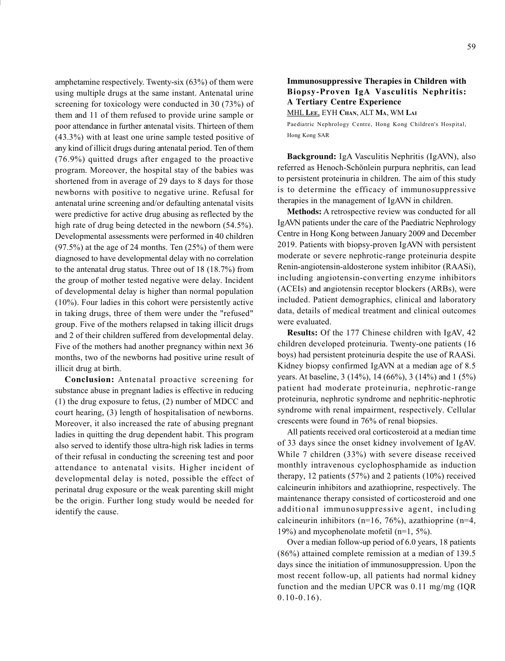amphetamine respectively. Twenty-six (63%) of them were using multiple drugs at the same instant. Antenatal urine screening for toxicology were conducted in 30 (73%) of them and 11 of them refused to provide urine sample or poor attendance in further antenatal visits. Thirteen of them (43.3%) with at least one urine sample tested positive of any kind of illicit drugs during antenatal period. Ten of them (76.9%) quitted drugs after engaged to the proactive program. Moreover, the hospital stay of the babies was shortened from in average of 29 days to 8 days for those newborns with positive to negative urine. Refusal for antenatal urine screening and/or defaulting antenatal visits were predictive for active drug abusing as reflected by the high rate of drug being detected in the newborn (54.5%). Developmental assessments were performed in 40 children  $(97.5%)$  at the age of 24 months. Ten  $(25%)$  of them were diagnosed to have developmental delay with no correlation to the antenatal drug status. Three out of 18 (18.7%) from the group of mother tested negative were delay. Incident of developmental delay is higher than normal population (10%). Four ladies in this cohort were persistently active in taking drugs, three of them were under the "refused" group. Five of the mothers relapsed in taking illicit drugs and 2 of their children suffered from developmental delay. Five of the mothers had another pregnancy within next 36 months, two of the newborns had positive urine result of illicit drug at birth.

Conclusion: Antenatal proactive screening for substance abuse in pregnant ladies is effective in reducing (1) the drug exposure to fetus, (2) number of MDCC and court hearing, (3) length of hospitalisation of newborns. Moreover, it also increased the rate of abusing pregnant ladies in quitting the drug dependent habit. This program also served to identify those ultra-high risk ladies in terms of their refusal in conducting the screening test and poor attendance to antenatal visits. Higher incident of developmental delay is noted, possible the effect of perinatal drug exposure or the weak parenting skill might be the origin. Further long study would be needed for identify the cause.

# Immunosuppressive Therapies in Children with Biopsy-Proven IgA Vasculitis Nephritis: A Tertiary Centre Experience

MHL LEE, EYH CHAN, ALT MA, WM LAI

Paediatric Nephrology Centre, Hong Kong Children's Hospital, Hong Kong SAR

Background: IgA Vasculitis Nephritis (IgAVN), also referred as Henoch-Schönlein purpura nephritis, can lead to persistent proteinuria in children. The aim of this study is to determine the efficacy of immunosuppressive therapies in the management of IgAVN in children.

Methods: A retrospective review was conducted for all IgAVN patients under the care of the Paediatric Nephrology Centre in Hong Kong between January 2009 and December 2019. Patients with biopsy-proven IgAVN with persistent moderate or severe nephrotic-range proteinuria despite Renin-angiotensin-aldosterone system inhibitor (RAASi), including angiotensin-converting enzyme inhibitors (ACEIs) and angiotensin receptor blockers (ARBs), were included. Patient demographics, clinical and laboratory data, details of medical treatment and clinical outcomes were evaluated.

Results: Of the 177 Chinese children with IgAV, 42 children developed proteinuria. Twenty-one patients (16 boys) had persistent proteinuria despite the use of RAASi. Kidney biopsy confirmed IgAVN at a median age of 8.5 years. At baseline, 3 (14%), 14 (66%), 3 (14%) and 1 (5%) patient had moderate proteinuria, nephrotic-range proteinuria, nephrotic syndrome and nephritic-nephrotic syndrome with renal impairment, respectively. Cellular crescents were found in 76% of renal biopsies.

All patients received oral corticosteroid at a median time of 33 days since the onset kidney involvement of IgAV. While 7 children (33%) with severe disease received monthly intravenous cyclophosphamide as induction therapy, 12 patients (57%) and 2 patients (10%) received calcineurin inhibitors and azathioprine, respectively. The maintenance therapy consisted of corticosteroid and one additional immunosuppressive agent, including calcineurin inhibitors (n=16, 76%), azathioprine (n=4, 19%) and mycophenolate mofetil (n=1, 5%).

Over a median follow-up period of 6.0 years, 18 patients (86%) attained complete remission at a median of 139.5 days since the initiation of immunosuppression. Upon the most recent follow-up, all patients had normal kidney function and the median UPCR was 0.11 mg/mg (IQR  $0.10 - 0.16$ .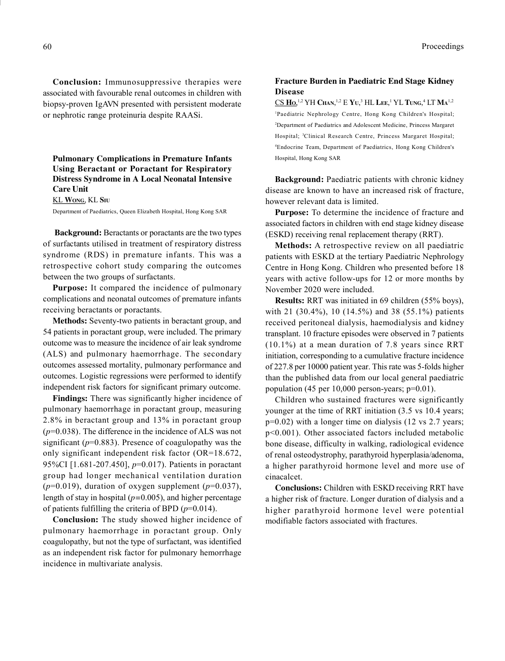Conclusion: Immunosuppressive therapies were associated with favourable renal outcomes in children with biopsy-proven IgAVN presented with persistent moderate or nephrotic range proteinuria despite RAASi.

Pulmonary Complications in Premature Infants Using Beractant or Poractant for Respiratory Distress Syndrome in A Local Neonatal Intensive Care Unit

#### KL WONG, KL SIU

Department of Paediatrics, Queen Elizabeth Hospital, Hong Kong SAR

Background: Beractants or poractants are the two types of surfactants utilised in treatment of respiratory distress syndrome (RDS) in premature infants. This was a retrospective cohort study comparing the outcomes between the two groups of surfactants.

Purpose: It compared the incidence of pulmonary complications and neonatal outcomes of premature infants receiving beractants or poractants.

Methods: Seventy-two patients in beractant group, and 54 patients in poractant group, were included. The primary outcome was to measure the incidence of air leak syndrome (ALS) and pulmonary haemorrhage. The secondary outcomes assessed mortality, pulmonary performance and outcomes. Logistic regressions were performed to identify independent risk factors for significant primary outcome.

Findings: There was significantly higher incidence of pulmonary haemorrhage in poractant group, measuring 2.8% in beractant group and 13% in poractant group  $(p=0.038)$ . The difference in the incidence of ALS was not significant ( $p=0.883$ ). Presence of coagulopathy was the only significant independent risk factor (OR=18.672, 95%CI [1.681-207.450], p=0.017). Patients in poractant group had longer mechanical ventilation duration  $(p=0.019)$ , duration of oxygen supplement  $(p=0.037)$ , length of stay in hospital  $(p=0.005)$ , and higher percentage of patients fulfilling the criteria of BPD  $(p=0.014)$ .

Conclusion: The study showed higher incidence of pulmonary haemorrhage in poractant group. Only coagulopathy, but not the type of surfactant, was identified as an independent risk factor for pulmonary hemorrhage incidence in multivariate analysis.

#### Fracture Burden in Paediatric End Stage Kidney Disease

 $\underline{\text{CS Ho}}^{1,2}\text{YH Chan},^{1,2}\text{E YU},^3\text{HL LEE},^1\text{YL Tung},^4\text{LT Ma}^{1,2}$ <sup>1</sup>Paediatric Nephrology Centre, Hong Kong Children's Hospital; <sup>2</sup>Department of Paediatrics and Adolescent Medicine, Princess Margaret Hospital; <sup>3</sup>Clinical Research Centre, Princess Margaret Hospital; <sup>4</sup>Endocrine Team, Department of Paediatrics, Hong Kong Children's Hospital, Hong Kong SAR

Background: Paediatric patients with chronic kidney disease are known to have an increased risk of fracture, however relevant data is limited.

Purpose: To determine the incidence of fracture and associated factors in children with end stage kidney disease (ESKD) receiving renal replacement therapy (RRT).

Methods: A retrospective review on all paediatric patients with ESKD at the tertiary Paediatric Nephrology Centre in Hong Kong. Children who presented before 18 years with active follow-ups for 12 or more months by November 2020 were included.

Results: RRT was initiated in 69 children (55% boys), with 21 (30.4%), 10 (14.5%) and 38 (55.1%) patients received peritoneal dialysis, haemodialysis and kidney transplant. 10 fracture episodes were observed in 7 patients (10.1%) at a mean duration of 7.8 years since RRT initiation, corresponding to a cumulative fracture incidence of 227.8 per 10000 patient year. This rate was 5-folds higher than the published data from our local general paediatric population (45 per 10,000 person-years; p=0.01).

Children who sustained fractures were significantly younger at the time of RRT initiation (3.5 vs 10.4 years;  $p=0.02$ ) with a longer time on dialysis (12 vs 2.7 years; p<0.001). Other associated factors included metabolic bone disease, difficulty in walking, radiological evidence of renal osteodystrophy, parathyroid hyperplasia/adenoma, a higher parathyroid hormone level and more use of cinacalcet.

Conclusions: Children with ESKD receiving RRT have a higher risk of fracture. Longer duration of dialysis and a higher parathyroid hormone level were potential modifiable factors associated with fractures.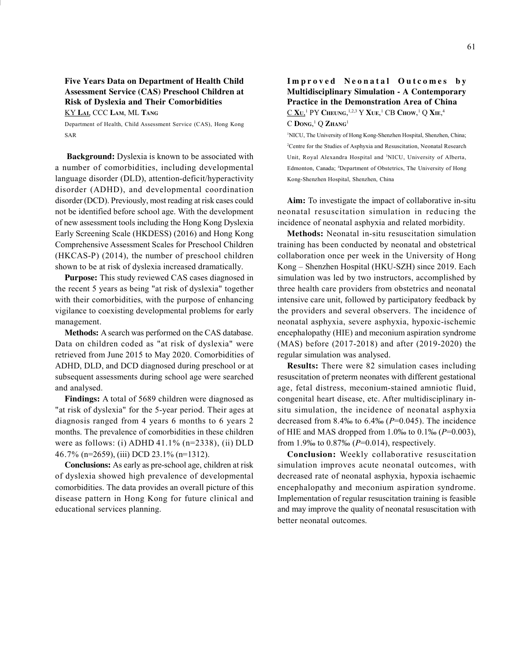# Five Years Data on Department of Health Child Assessment Service (CAS) Preschool Children at Risk of Dyslexia and Their Comorbidities

KY LAI, CCC LAM, ML TANG

Department of Health, Child Assessment Service (CAS), Hong Kong SAR

Background: Dyslexia is known to be associated with a number of comorbidities, including developmental language disorder (DLD), attention-deficit/hyperactivity disorder (ADHD), and developmental coordination disorder (DCD). Previously, most reading at risk cases could not be identified before school age. With the development of new assessment tools including the Hong Kong Dyslexia Early Screening Scale (HKDESS) (2016) and Hong Kong Comprehensive Assessment Scales for Preschool Children (HKCAS-P) (2014), the number of preschool children shown to be at risk of dyslexia increased dramatically.

Purpose: This study reviewed CAS cases diagnosed in the recent 5 years as being "at risk of dyslexia" together with their comorbidities, with the purpose of enhancing vigilance to coexisting developmental problems for early management.

Methods: A search was performed on the CAS database. Data on children coded as "at risk of dyslexia" were retrieved from June 2015 to May 2020. Comorbidities of ADHD, DLD, and DCD diagnosed during preschool or at subsequent assessments during school age were searched and analysed.

Findings: A total of 5689 children were diagnosed as "at risk of dyslexia" for the 5-year period. Their ages at diagnosis ranged from 4 years 6 months to 6 years 2 months. The prevalence of comorbidities in these children were as follows: (i) ADHD  $41.1\%$  (n=2338), (ii) DLD 46.7% (n=2659), (iii) DCD 23.1% (n=1312).

Conclusions: As early as pre-school age, children at risk of dyslexia showed high prevalence of developmental comorbidities. The data provides an overall picture of this disease pattern in Hong Kong for future clinical and educational services planning.

# Improved Neonatal Outcomes by Multidisciplinary Simulation - A Contemporary Practice in the Demonstration Area of China  $\underline{\text{C}}$  Xu,<sup>1</sup> PY Cheung,<sup>1,2,3</sup> Y Xue,<sup>1</sup> CB Chow,<sup>1</sup> Q Xie,<sup>4</sup>  $\mathrm{C}$  Dong,<sup>1</sup> Q Zhang<sup>1</sup>

<sup>1</sup>NICU, The University of Hong Kong-Shenzhen Hospital, Shenzhen, China; <sup>2</sup>Centre for the Studies of Asphyxia and Resuscitation, Neonatal Research Unit, Royal Alexandra Hospital and <sup>3</sup>NICU, University of Alberta, Edmonton, Canada; <sup>4</sup>Department of Obstetrics, The University of Hong Kong-Shenzhen Hospital, Shenzhen, China

Aim: To investigate the impact of collaborative in-situ neonatal resuscitation simulation in reducing the incidence of neonatal asphyxia and related morbidity.

Methods: Neonatal in-situ resuscitation simulation training has been conducted by neonatal and obstetrical collaboration once per week in the University of Hong Kong – Shenzhen Hospital (HKU-SZH) since 2019. Each simulation was led by two instructors, accomplished by three health care providers from obstetrics and neonatal intensive care unit, followed by participatory feedback by the providers and several observers. The incidence of neonatal asphyxia, severe asphyxia, hypoxic-ischemic encephalopathy (HIE) and meconium aspiration syndrome (MAS) before (2017-2018) and after (2019-2020) the regular simulation was analysed.

Results: There were 82 simulation cases including resuscitation of preterm neonates with different gestational age, fetal distress, meconium-stained amniotic fluid, congenital heart disease, etc. After multidisciplinary insitu simulation, the incidence of neonatal asphyxia decreased from 8.4‰ to  $6.4% (P=0.045)$ . The incidence of HIE and MAS dropped from 1.0‰ to 0.1‰ ( $P=0.003$ ), from 1.9‰ to  $0.87% (P=0.014)$ , respectively.

Conclusion: Weekly collaborative resuscitation simulation improves acute neonatal outcomes, with decreased rate of neonatal asphyxia, hypoxia ischaemic encephalopathy and meconium aspiration syndrome. Implementation of regular resuscitation training is feasible and may improve the quality of neonatal resuscitation with better neonatal outcomes.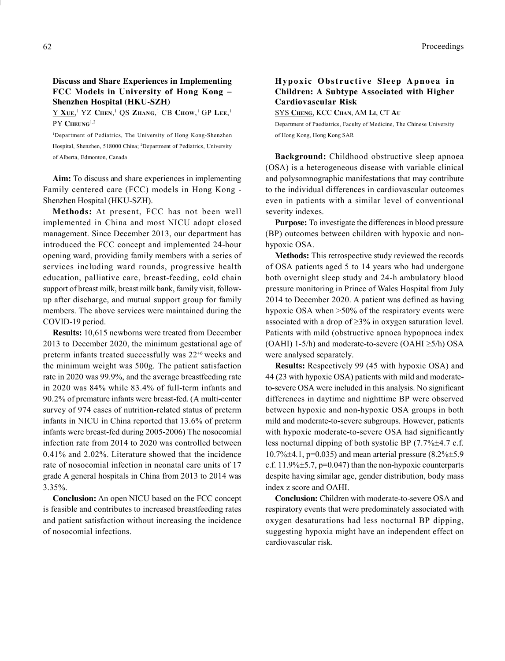## Discuss and Share Experiences in Implementing FCC Models in University of Hong Kong Shenzhen Hospital (HKU-SZH)

 $\underline{Y}$   $\underline{X}$ ue,<sup>1</sup>  $YZ$  Chen,<sup>1</sup> QS Zhang,<sup>1</sup> CB Chow,<sup>1</sup> GP Lee,<sup>1</sup> PY CHEUNG<sup>1,2</sup>

<sup>1</sup>Department of Pediatrics, The University of Hong Kong-Shenzhen Hospital, Shenzhen, 518000 China; <sup>2</sup>Department of Pediatrics, University of Alberta, Edmonton, Canada

Aim: To discuss and share experiences in implementing Family centered care (FCC) models in Hong Kong - Shenzhen Hospital (HKU-SZH).

Methods: At present, FCC has not been well implemented in China and most NICU adopt closed management. Since December 2013, our department has introduced the FCC concept and implemented 24-hour opening ward, providing family members with a series of services including ward rounds, progressive health education, palliative care, breast-feeding, cold chain support of breast milk, breast milk bank, family visit, followup after discharge, and mutual support group for family members. The above services were maintained during the COVID-19 period.

Results: 10,615 newborns were treated from December 2013 to December 2020, the minimum gestational age of preterm infants treated successfully was 22<sup>+6</sup> weeks and the minimum weight was 500g. The patient satisfaction rate in 2020 was 99.9%, and the average breastfeeding rate in 2020 was 84% while 83.4% of full-term infants and 90.2% of premature infants were breast-fed. (A multi-center survey of 974 cases of nutrition-related status of preterm infants in NICU in China reported that 13.6% of preterm infants were breast-fed during 2005-2006) The nosocomial infection rate from 2014 to 2020 was controlled between 0.41% and 2.02%. Literature showed that the incidence rate of nosocomial infection in neonatal care units of 17 grade A general hospitals in China from 2013 to 2014 was 3.35%.

Conclusion: An open NICU based on the FCC concept is feasible and contributes to increased breastfeeding rates and patient satisfaction without increasing the incidence of nosocomial infections.

# Hypoxic Obstructive Sleep Apnoea in Children: A Subtype Associated with Higher Cardiovascular Risk

SYS CHENG, KCC CHAN, AM LI, CT A<sup>U</sup>

Department of Paediatrics, Faculty of Medicine, The Chinese University of Hong Kong, Hong Kong SAR

Background: Childhood obstructive sleep apnoea (OSA) is a heterogeneous disease with variable clinical and polysomnographic manifestations that may contribute to the individual differences in cardiovascular outcomes even in patients with a similar level of conventional severity indexes.

Purpose: To investigate the differences in blood pressure (BP) outcomes between children with hypoxic and nonhypoxic OSA.

Methods: This retrospective study reviewed the records of OSA patients aged 5 to 14 years who had undergone both overnight sleep study and 24-h ambulatory blood pressure monitoring in Prince of Wales Hospital from July 2014 to December 2020. A patient was defined as having hypoxic OSA when >50% of the respiratory events were associated with a drop of  $\geq$ 3% in oxygen saturation level. Patients with mild (obstructive apnoea hypopnoea index (OAHI) 1-5/h) and moderate-to-severe (OAHI  $\geq$ 5/h) OSA were analysed separately.

Results: Respectively 99 (45 with hypoxic OSA) and 44 (23 with hypoxic OSA) patients with mild and moderateto-severe OSA were included in this analysis. No significant differences in daytime and nighttime BP were observed between hypoxic and non-hypoxic OSA groups in both mild and moderate-to-severe subgroups. However, patients with hypoxic moderate-to-severe OSA had significantly less nocturnal dipping of both systolic BP (7.7%±4.7 c.f. 10.7% $\pm$ 4.1, p=0.035) and mean arterial pressure (8.2% $\pm$ 5.9 c.f. 11.9% $\pm$ 5.7, p=0.047) than the non-hypoxic counterparts despite having similar age, gender distribution, body mass index z score and OAHI.

Conclusion: Children with moderate-to-severe OSA and respiratory events that were predominately associated with oxygen desaturations had less nocturnal BP dipping, suggesting hypoxia might have an independent effect on cardiovascular risk.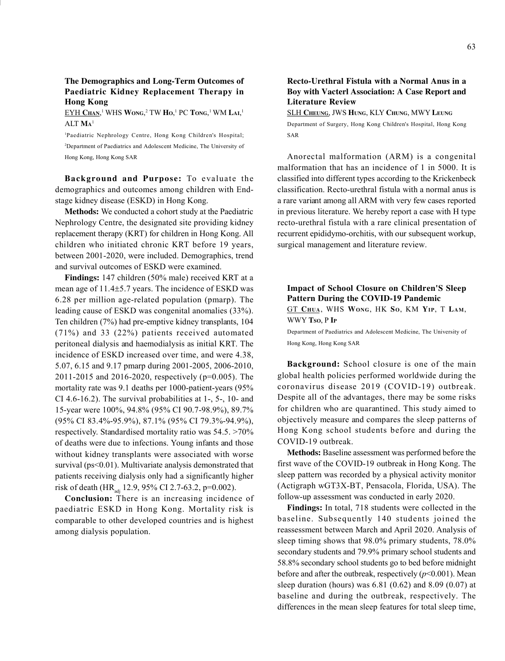## The Demographics and Long-Term Outcomes of Paediatric Kidney Replacement Therapy in Hong Kong

#### EYH Chan,<sup>1</sup> WHS Wong,<sup>2</sup> TW Ho,<sup>1</sup> PC Tong,<sup>1</sup> WM Lai,<sup>1</sup>  $\rm{ALT}~\rm{Ma}^{1}$

<sup>1</sup>Paediatric Nephrology Centre, Hong Kong Children's Hospital; <sup>2</sup>Department of Paediatrics and Adolescent Medicine, The University of Hong Kong, Hong Kong SAR

Background and Purpose: To evaluate the demographics and outcomes among children with Endstage kidney disease (ESKD) in Hong Kong.

Methods: We conducted a cohort study at the Paediatric Nephrology Centre, the designated site providing kidney replacement therapy (KRT) for children in Hong Kong. All children who initiated chronic KRT before 19 years, between 2001-2020, were included. Demographics, trend and survival outcomes of ESKD were examined.

Findings: 147 children (50% male) received KRT at a mean age of 11.45.7 years. The incidence of ESKD was 6.28 per million age-related population (pmarp). The leading cause of ESKD was congenital anomalies (33%). Ten children (7%) had pre-emptive kidney transplants, 104 (71%) and 33 (22%) patients received automated peritoneal dialysis and haemodialysis as initial KRT. The incidence of ESKD increased over time, and were 4.38, 5.07, 6.15 and 9.17 pmarp during 2001-2005, 2006-2010, 2011-2015 and 2016-2020, respectively (p=0.005). The mortality rate was 9.1 deaths per 1000-patient-years (95% CI 4.6-16.2). The survival probabilities at 1-, 5-, 10- and 15-year were 100%, 94.8% (95% CI 90.7-98.9%), 89.7% (95% CI 83.4%-95.9%), 87.1% (95% CI 79.3%-94.9%), respectively. Standardised mortality ratio was 54.5. >70% of deaths were due to infections. Young infants and those without kidney transplants were associated with worse survival (ps<0.01). Multivariate analysis demonstrated that patients receiving dialysis only had a significantly higher risk of death (HR<sub>adi</sub> 12.9, 95% CI 2.7-63.2, p=0.002).

Conclusion: There is an increasing incidence of paediatric ESKD in Hong Kong. Mortality risk is comparable to other developed countries and is highest among dialysis population.

#### Recto-Urethral Fistula with a Normal Anus in a Boy with Vacterl Association: A Case Report and Literature Review

SLH CHEUNG, JWS HUNG, KLY CHUNG, MWY LEUNG Department of Surgery, Hong Kong Children's Hospital, Hong Kong SAR

Anorectal malformation (ARM) is a congenital malformation that has an incidence of 1 in 5000. It is classified into different types according to the Krickenbeck classification. Recto-urethral fistula with a normal anus is a rare variant among all ARM with very few cases reported in previous literature. We hereby report a case with H type recto-urethral fistula with a rare clinical presentation of recurrent epididymo-orchitis, with our subsequent workup, surgical management and literature review.

# Impact of School Closure on Children'S Sleep Pattern During the COVID-19 Pandemic GT CHUA, WHS WONG, HK So, KM YIP, T LAM, WWY Tso, P IP

Department of Paediatrics and Adolescent Medicine, The University of Hong Kong, Hong Kong SAR

Background: School closure is one of the main global health policies performed worldwide during the coronavirus disease 2019 (COVID-19) outbreak. Despite all of the advantages, there may be some risks for children who are quarantined. This study aimed to objectively measure and compares the sleep patterns of Hong Kong school students before and during the COVID-19 outbreak.

Methods: Baseline assessment was performed before the first wave of the COVID-19 outbreak in Hong Kong. The sleep pattern was recorded by a physical activity monitor (Actigraph wGT3X-BT, Pensacola, Florida, USA). The follow-up assessment was conducted in early 2020.

Findings: In total, 718 students were collected in the baseline. Subsequently 140 students joined the reassessment between March and April 2020. Analysis of sleep timing shows that 98.0% primary students, 78.0% secondary students and 79.9% primary school students and 58.8% secondary school students go to bed before midnight before and after the outbreak, respectively  $(p<0.001)$ . Mean sleep duration (hours) was 6.81 (0.62) and 8.09 (0.07) at baseline and during the outbreak, respectively. The differences in the mean sleep features for total sleep time,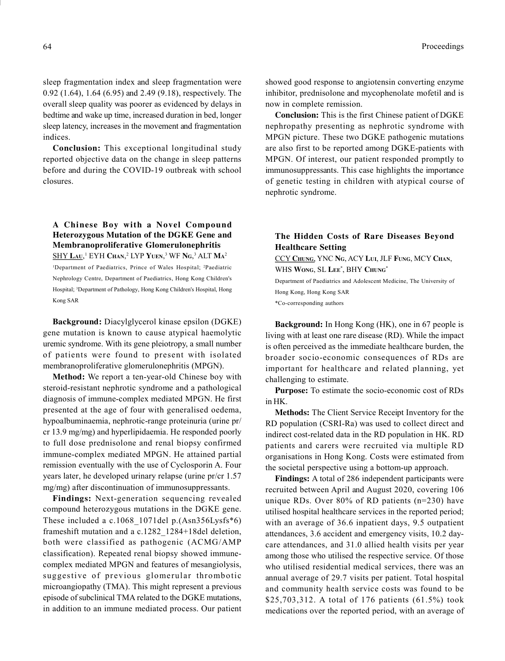sleep fragmentation index and sleep fragmentation were 0.92 (1.64), 1.64 (6.95) and 2.49 (9.18), respectively. The overall sleep quality was poorer as evidenced by delays in bedtime and wake up time, increased duration in bed, longer sleep latency, increases in the movement and fragmentation indices.

Conclusion: This exceptional longitudinal study reported objective data on the change in sleep patterns before and during the COVID-19 outbreak with school closures.

# A Chinese Boy with a Novel Compound Heterozygous Mutation of the DGKE Gene and Membranoproliferative Glomerulonephritis

SHY Lau,<sup>1</sup> EYH Chan,<sup>2</sup> LYP Yuen,<sup>3</sup> WF Ng,<sup>3</sup> ALT Ma<sup>2</sup> <sup>1</sup>Department of Paediatrics, Prince of Wales Hospital; <sup>2</sup>Paediatric Nephrology Centre, Department of Paediatrics, Hong Kong Children's Hospital; <sup>3</sup>Department of Pathology, Hong Kong Children's Hospital, Hong Kong SAR

Background: Diacylglycerol kinase epsilon (DGKE) gene mutation is known to cause atypical haemolytic uremic syndrome. With its gene pleiotropy, a small number of patients were found to present with isolated membranoproliferative glomerulonephritis (MPGN).

Method: We report a ten-year-old Chinese boy with steroid-resistant nephrotic syndrome and a pathological diagnosis of immune-complex mediated MPGN. He first presented at the age of four with generalised oedema, hypoalbuminaemia, nephrotic-range proteinuria (urine pr/ cr 13.9 mg/mg) and hyperlipidaemia. He responded poorly to full dose prednisolone and renal biopsy confirmed immune-complex mediated MPGN. He attained partial remission eventually with the use of Cyclosporin A. Four years later, he developed urinary relapse (urine pr/cr 1.57 mg/mg) after discontinuation of immunosuppressants.

Findings: Next-generation sequencing revealed compound heterozygous mutations in the DGKE gene. These included a c.1068\_1071del p.(Asn356Lysfs\*6) frameshift mutation and a c.1282\_1284+18del deletion, both were classified as pathogenic (ACMG/AMP classification). Repeated renal biopsy showed immunecomplex mediated MPGN and features of mesangiolysis, suggestive of previous glomerular thrombotic microangiopathy (TMA). This might represent a previous episode of subclinical TMA related to the DGKE mutations, in addition to an immune mediated process. Our patient

showed good response to angiotensin converting enzyme inhibitor, prednisolone and mycophenolate mofetil and is now in complete remission.

Conclusion: This is the first Chinese patient of DGKE nephropathy presenting as nephrotic syndrome with MPGN picture. These two DGKE pathogenic mutations are also first to be reported among DGKE-patients with MPGN. Of interest, our patient responded promptly to immunosuppressants. This case highlights the importance of genetic testing in children with atypical course of nephrotic syndrome.

# The Hidden Costs of Rare Diseases Beyond Healthcare Setting

CCY CHUNG, YNC NG, ACY LUI, JLF FUNG, MCY CHAN, WHS WONG, SL LEE<sup>\*</sup>, BHY CHUNG<sup>\*</sup> Department of Paediatrics and Adolescent Medicine, The University of Hong Kong, Hong Kong SAR \*Co-corresponding authors

Background: In Hong Kong (HK), one in 67 people is living with at least one rare disease (RD). While the impact is often perceived as the immediate healthcare burden, the broader socio-economic consequences of RDs are important for healthcare and related planning, yet challenging to estimate.

Purpose: To estimate the socio-economic cost of RDs in HK.

Methods: The Client Service Receipt Inventory for the RD population (CSRI-Ra) was used to collect direct and indirect cost-related data in the RD population in HK. RD patients and carers were recruited via multiple RD organisations in Hong Kong. Costs were estimated from the societal perspective using a bottom-up approach.

Findings: A total of 286 independent participants were recruited between April and August 2020, covering 106 unique RDs. Over 80% of RD patients (n=230) have utilised hospital healthcare services in the reported period; with an average of 36.6 inpatient days, 9.5 outpatient attendances, 3.6 accident and emergency visits, 10.2 daycare attendances, and 31.0 allied health visits per year among those who utilised the respective service. Of those who utilised residential medical services, there was an annual average of 29.7 visits per patient. Total hospital and community health service costs was found to be \$25,703,312. A total of 176 patients (61.5%) took medications over the reported period, with an average of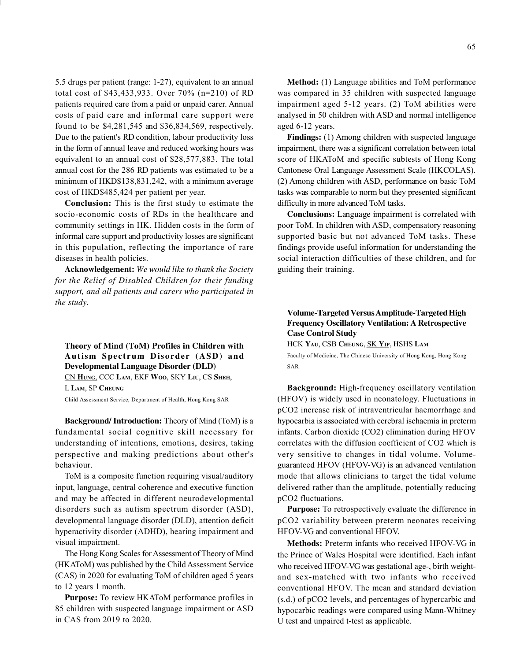5.5 drugs per patient (range: 1-27), equivalent to an annual total cost of \$43,433,933. Over 70% (n=210) of RD patients required care from a paid or unpaid carer. Annual costs of paid care and informal care support were found to be \$4,281,545 and \$36,834,569, respectively. Due to the patient's RD condition, labour productivity loss in the form of annual leave and reduced working hours was equivalent to an annual cost of \$28,577,883. The total annual cost for the 286 RD patients was estimated to be a minimum of HKD\$138,831,242, with a minimum average cost of HKD\$485,424 per patient per year.

Conclusion: This is the first study to estimate the socio-economic costs of RDs in the healthcare and community settings in HK. Hidden costs in the form of informal care support and productivity losses are significant in this population, reflecting the importance of rare diseases in health policies.

Acknowledgement: We would like to thank the Society for the Relief of Disabled Children for their funding support, and all patients and carers who participated in the study.

Theory of Mind (ToM) Profiles in Children with Autism Spectrum Disorder (ASD) and Developmental Language Disorder (DLD) CN HUNG, CCC LAM, EKF WOO, SKY LIU, CS SHEH, L LAM, SP CHEUNG

Child Assessment Service, Department of Health, Hong Kong SAR

Background/ Introduction: Theory of Mind (ToM) is a fundamental social cognitive skill necessary for understanding of intentions, emotions, desires, taking perspective and making predictions about other's behaviour.

ToM is a composite function requiring visual/auditory input, language, central coherence and executive function and may be affected in different neurodevelopmental disorders such as autism spectrum disorder (ASD), developmental language disorder (DLD), attention deficit hyperactivity disorder (ADHD), hearing impairment and visual impairment.

The Hong Kong Scales for Assessment of Theory of Mind (HKAToM) was published by the Child Assessment Service (CAS) in 2020 for evaluating ToM of children aged 5 years to 12 years 1 month.

Purpose: To review HKAToM performance profiles in 85 children with suspected language impairment or ASD in CAS from 2019 to 2020.

Method: (1) Language abilities and ToM performance was compared in 35 children with suspected language impairment aged 5-12 years. (2) ToM abilities were analysed in 50 children with ASD and normal intelligence aged 6-12 years.

Findings: (1) Among children with suspected language impairment, there was a significant correlation between total score of HKAToM and specific subtests of Hong Kong Cantonese Oral Language Assessment Scale (HKCOLAS). (2) Among children with ASD, performance on basic ToM tasks was comparable to norm but they presented significant difficulty in more advanced ToM tasks.

Conclusions: Language impairment is correlated with poor ToM. In children with ASD, compensatory reasoning supported basic but not advanced ToM tasks. These findings provide useful information for understanding the social interaction difficulties of these children, and for guiding their training.

# Volume-Targeted Versus Amplitude-Targeted High Frequency Oscillatory Ventilation: A Retrospective Case Control Study

HCK YAU, CSB CHEUNG, SK YIP, HSHS LAM

Faculty of Medicine, The Chinese University of Hong Kong, Hong Kong SAR

Background: High-frequency oscillatory ventilation (HFOV) is widely used in neonatology. Fluctuations in pCO2 increase risk of intraventricular haemorrhage and hypocarbia is associated with cerebral ischaemia in preterm infants. Carbon dioxide (CO2) elimination during HFOV correlates with the diffusion coefficient of CO2 which is very sensitive to changes in tidal volume. Volumeguaranteed HFOV (HFOV-VG) is an advanced ventilation mode that allows clinicians to target the tidal volume delivered rather than the amplitude, potentially reducing pCO2 fluctuations.

Purpose: To retrospectively evaluate the difference in pCO2 variability between preterm neonates receiving HFOV-VG and conventional HFOV.

Methods: Preterm infants who received HFOV-VG in the Prince of Wales Hospital were identified. Each infant who received HFOV-VG was gestational age-, birth weightand sex-matched with two infants who received conventional HFOV. The mean and standard deviation (s.d.) of pCO2 levels, and percentages of hypercarbic and hypocarbic readings were compared using Mann-Whitney U test and unpaired t-test as applicable.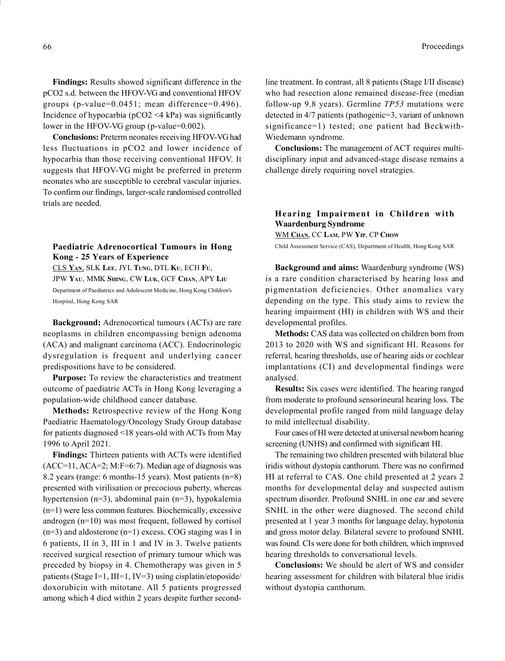Findings: Results showed significant difference in the pCO2 s.d. between the HFOV-VG and conventional HFOV groups (p-value=0.0451; mean difference=0.496). Incidence of hypocarbia (pCO2 <4 kPa) was significantly lower in the HFOV-VG group (p-value=0.002).

Conclusions: Preterm neonates receiving HFOV-VG had less fluctuations in pCO2 and lower incidence of hypocarbia than those receiving conventional HFOV. It suggests that HFOV-VG might be preferred in preterm neonates who are susceptible to cerebral vascular injuries. To confirm our findings, larger-scale randomised controlled trials are needed.

# Paediatric Adrenocortical Tumours in Hong Kong - 25 Years of Experience

CLS YAN, SLK LEE, JYL TUNG, DTL KU, ECH FU, JPW YAU, MMK SHING, CW LUK, GCF CHAN, APY LIU Department of Paediatrics and Adolescent Medicine, Hong Kong Children's Hospital, Hong Kong SAR

Background: Adrenocortical tumours (ACTs) are rare neoplasms in children encompassing benign adenoma (ACA) and malignant carcinoma (ACC). Endocrinologic dysregulation is frequent and underlying cancer predispositions have to be considered.

Purpose: To review the characteristics and treatment outcome of paediatric ACTs in Hong Kong leveraging a population-wide childhood cancer database.

Methods: Retrospective review of the Hong Kong Paediatric Haematology/Oncology Study Group database for patients diagnosed <18 years-old with ACTs from May 1996 to April 2021.

Findings: Thirteen patients with ACTs were identified (ACC=11, ACA=2; M:F=6:7). Median age of diagnosis was 8.2 years (range: 6 months-15 years). Most patients (n=8) presented with virilisation or precocious puberty, whereas hypertension (n=3), abdominal pain (n=3), hypokalemia (n=1) were less common features. Biochemically, excessive androgen (n=10) was most frequent, followed by cortisol  $(n=3)$  and aldosterone  $(n=1)$  excess. COG staging was I in 6 patients, II in 3, III in 1 and IV in 3. Twelve patients received surgical resection of primary tumour which was preceded by biopsy in 4. Chemotherapy was given in 5 patients (Stage I=1, III=1, IV=3) using cisplatin/etoposide/ doxorubicin with mitotane. All 5 patients progressed among which 4 died within 2 years despite further secondline treatment. In contrast, all 8 patients (Stage I/II disease) who had resection alone remained disease-free (median follow-up 9.8 years). Germline TP53 mutations were detected in 4/7 patients (pathogenic=3, variant of unknown significance=1) tested; one patient had Beckwith-Wiedemann syndrome.

Conclusions: The management of ACT requires multidisciplinary input and advanced-stage disease remains a challenge direly requiring novel strategies.

# Hearing Impairment in Children with Waardenburg Syndrome

WM CHAN, CC LAM, PW YIP, CP CHOW

Child Assessment Service (CAS), Department of Health, Hong Kong SAR

Background and aims: Waardenburg syndrome (WS) is a rare condition characterised by hearing loss and pigmentation deficiencies. Other anomalies vary depending on the type. This study aims to review the hearing impairment (HI) in children with WS and their developmental profiles.

Methods: CAS data was collected on children born from 2013 to 2020 with WS and significant HI. Reasons for referral, hearing thresholds, use of hearing aids or cochlear implantations (CI) and developmental findings were analysed.

Results: Six cases were identified. The hearing ranged from moderate to profound sensorineural hearing loss. The developmental profile ranged from mild language delay to mild intellectual disability.

Four cases of HI were detected at universal newborn hearing screening (UNHS) and confirmed with significant HI.

The remaining two children presented with bilateral blue iridis without dystopia canthorum. There was no confirmed HI at referral to CAS. One child presented at 2 years 2 months for developmental delay and suspected autism spectrum disorder. Profound SNHL in one ear and severe SNHL in the other were diagnosed. The second child presented at 1 year 3 months for language delay, hypotonia and gross motor delay. Bilateral severe to profound SNHL was found. CIs were done for both children, which improved hearing thresholds to conversational levels.

Conclusions: We should be alert of WS and consider hearing assessment for children with bilateral blue iridis without dystopia canthorum.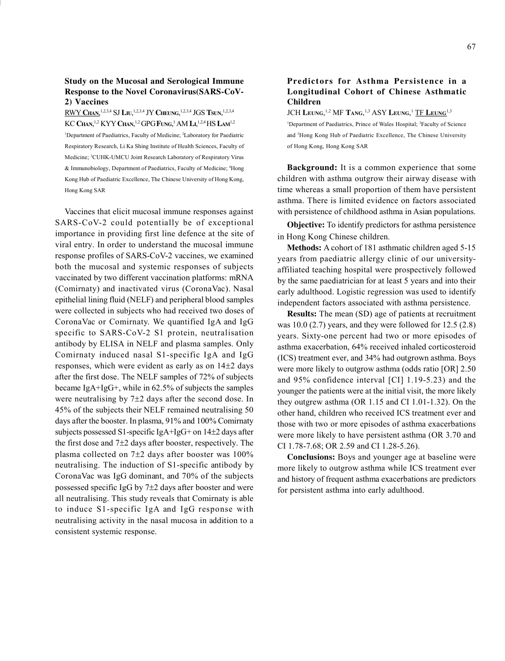#### Study on the Mucosal and Serological Immune Response to the Novel Coronavirus(SARS-CoV-2) Vaccines

RWY CHAN,<sup>1,2,3,4</sup> SJ Liu,<sup>1,2,3,4</sup> JY Cheung,<sup>1,2,3,4</sup> JGS Tsun,<sup>1,2,3,4</sup> KC Chan,<sup>1,2</sup> KYY Chan,<sup>1,2</sup> GPG Fung,<sup>1</sup> AM Li,<sup>1,2,4</sup> HS Lam<sup>1,2</sup>

<sup>1</sup>Department of Paediatrics, Faculty of Medicine; <sup>2</sup>Laboratory for Paediatric Respiratory Research, Li Ka Shing Institute of Health Sciences, Faculty of Medicine; <sup>3</sup>CUHK-UMCU Joint Research Laboratory of Respiratory Virus & Immunobiology, Department of Paediatrics, Faculty of Medicine; <sup>4</sup>Hong Kong Hub of Paediatric Excellence, The Chinese University of Hong Kong, Hong Kong SAR

Vaccines that elicit mucosal immune responses against SARS-CoV-2 could potentially be of exceptional importance in providing first line defence at the site of viral entry. In order to understand the mucosal immune response profiles of SARS-CoV-2 vaccines, we examined both the mucosal and systemic responses of subjects vaccinated by two different vaccination platforms: mRNA (Comirnaty) and inactivated virus (CoronaVac). Nasal epithelial lining fluid (NELF) and peripheral blood samples were collected in subjects who had received two doses of CoronaVac or Comirnaty. We quantified IgA and IgG specific to SARS-CoV-2 S1 protein, neutralisation antibody by ELISA in NELF and plasma samples. Only Comirnaty induced nasal S1-specific IgA and IgG responses, which were evident as early as on  $14\pm2$  days after the first dose. The NELF samples of 72% of subjects became IgA+IgG+, while in 62.5% of subjects the samples were neutralising by  $7\pm 2$  days after the second dose. In 45% of the subjects their NELF remained neutralising 50 days after the booster. In plasma, 91% and 100% Comirnaty subjects possessed S1-specific IgA+IgG+ on 14±2 days after the first dose and  $7\pm 2$  days after booster, respectively. The plasma collected on  $7\pm2$  days after booster was  $100\%$ neutralising. The induction of S1-specific antibody by CoronaVac was IgG dominant, and 70% of the subjects possessed specific IgG by  $7\pm 2$  days after booster and were all neutralising. This study reveals that Comirnaty is able to induce S1-specific IgA and IgG response with neutralising activity in the nasal mucosa in addition to a consistent systemic response.

## Predictors for Asthma Persistence in a Longitudinal Cohort of Chinese Asthmatic Children

JCH Leung,<sup>1,2</sup> MF Tang,<sup>1,3</sup> ASY Leung,<sup>1</sup> <u>TF Leung<sup>1,3</sup></u>

<sup>1</sup>Department of Paediatrics, Prince of Wales Hospital; <sup>2</sup>Faculty of Science and <sup>3</sup>Hong Kong Hub of Paediatric Excellence, The Chinese University of Hong Kong, Hong Kong SAR

Background: It is a common experience that some children with asthma outgrow their airway disease with time whereas a small proportion of them have persistent asthma. There is limited evidence on factors associated with persistence of childhood asthma in Asian populations.

Objective: To identify predictors for asthma persistence in Hong Kong Chinese children.

Methods: A cohort of 181 asthmatic children aged 5-15 years from paediatric allergy clinic of our universityaffiliated teaching hospital were prospectively followed by the same paediatrician for at least 5 years and into their early adulthood. Logistic regression was used to identify independent factors associated with asthma persistence.

Results: The mean (SD) age of patients at recruitment was 10.0 (2.7) years, and they were followed for 12.5 (2.8) years. Sixty-one percent had two or more episodes of asthma exacerbation, 64% received inhaled corticosteroid (ICS) treatment ever, and 34% had outgrown asthma. Boys were more likely to outgrow asthma (odds ratio [OR] 2.50 and 95% confidence interval [CI] 1.19-5.23) and the younger the patients were at the initial visit, the more likely they outgrew asthma (OR 1.15 and CI 1.01-1.32). On the other hand, children who received ICS treatment ever and those with two or more episodes of asthma exacerbations were more likely to have persistent asthma (OR 3.70 and CI 1.78-7.68; OR 2.59 and CI 1.28-5.26).

Conclusions: Boys and younger age at baseline were more likely to outgrow asthma while ICS treatment ever and history of frequent asthma exacerbations are predictors for persistent asthma into early adulthood.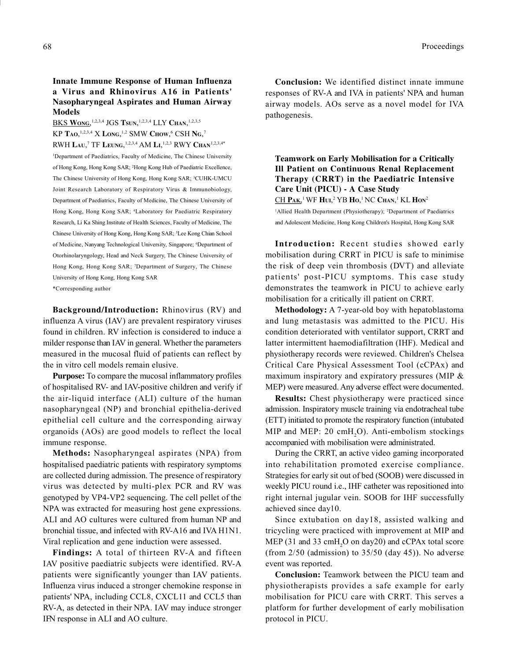## Innate Immune Response of Human Influenza a Virus and Rhinovirus A16 in Patients' Nasopharyngeal Aspirates and Human Airway Models

BKS WONG,<sup>1,2,3,4</sup> JGS Tsun,<sup>1,2,3,4</sup> LLY Chan,<sup>1,2,3,5</sup> KP TAO,<sup>1,2,3,4</sup> X Long,<sup>1,2</sup> SMW Chow,<sup>6</sup> CSH Ng,<sup>7</sup> RWH LAU,<sup>7</sup> TF Leung, <sup>1,2,3,4</sup> AM Li, <sup>1,2,3</sup> RWY Chan<sup>1,2,3,4\*</sup> <sup>1</sup>Department of Paediatrics, Faculty of Medicine, The Chinese University of Hong Kong, Hong Kong SAR; <sup>2</sup>Hong Kong Hub of Paediatric Excellence, The Chinese University of Hong Kong, Hong Kong SAR; <sup>3</sup>CUHK-UMCU Joint Research Laboratory of Respiratory Virus & Immunobiology, Department of Paediatrics, Faculty of Medicine, The Chinese University of Hong Kong, Hong Kong SAR; <sup>4</sup>Laboratory for Paediatric Respiratory Research, Li Ka Shing Institute of Health Sciences, Faculty of Medicine, The Chinese University of Hong Kong, Hong Kong SAR; <sup>5</sup>Lee Kong Chian School of Medicine, Nanyang Technological University, Singapore; <sup>6</sup>Department of Otorhinolaryngology, Head and Neck Surgery, The Chinese University of Hong Kong, Hong Kong SAR; <sup>7</sup>Department of Surgery, The Chinese University of Hong Kong, Hong Kong SAR

\*Corresponding author

Background/Introduction: Rhinovirus (RV) and influenza A virus (IAV) are prevalent respiratory viruses found in children. RV infection is considered to induce a milder response than IAV in general. Whether the parameters measured in the mucosal fluid of patients can reflect by the in vitro cell models remain elusive.

Purpose: To compare the mucosal inflammatory profiles of hospitalised RV- and IAV-positive children and verify if the air-liquid interface (ALI) culture of the human nasopharyngeal (NP) and bronchial epithelia-derived epithelial cell culture and the corresponding airway organoids (AOs) are good models to reflect the local immune response.

Methods: Nasopharyngeal aspirates (NPA) from hospitalised paediatric patients with respiratory symptoms are collected during admission. The presence of respiratory virus was detected by multi-plex PCR and RV was genotyped by VP4-VP2 sequencing. The cell pellet of the NPA was extracted for measuring host gene expressions. ALI and AO cultures were cultured from human NP and bronchial tissue, and infected with RV-A16 and IVA H1N1. Viral replication and gene induction were assessed.

Findings: A total of thirteen RV-A and fifteen IAV positive paediatric subjects were identified. RV-A patients were significantly younger than IAV patients. Influenza virus induced a stronger chemokine response in patients' NPA, including CCL8, CXCL11 and CCL5 than RV-A, as detected in their NPA. IAV may induce stronger IFN response in ALI and AO culture.

Conclusion: We identified distinct innate immune responses of RV-A and IVA in patients' NPA and human airway models. AOs serve as a novel model for IVA pathogenesis.

Teamwork on Early Mobilisation for a Critically Ill Patient on Continuous Renal Replacement Therapy (CRRT) in the Paediatric Intensive Care Unit (PICU) - A Case Study CH Pak,<sup>1</sup> WF Hui,<sup>2</sup> YB Ho,<sup>1</sup> NC Chan,<sup>1</sup> KL Hon<sup>2</sup> <sup>1</sup>Allied Health Department (Physiotherapy); <sup>2</sup>Department of Paediatrics

and Adolescent Medicine, Hong Kong Children's Hospital, Hong Kong SAR

Introduction: Recent studies showed early mobilisation during CRRT in PICU is safe to minimise the risk of deep vein thrombosis (DVT) and alleviate patients' post-PICU symptoms. This case study demonstrates the teamwork in PICU to achieve early mobilisation for a critically ill patient on CRRT.

Methodology: A 7-year-old boy with hepatoblastoma and lung metastasis was admitted to the PICU. His condition deteriorated with ventilator support, CRRT and latter intermittent haemodiafiltration (IHF). Medical and physiotherapy records were reviewed. Children's Chelsea Critical Care Physical Assessment Tool (cCPAx) and maximum inspiratory and expiratory pressures (MIP & MEP) were measured. Any adverse effect were documented.

Results: Chest physiotherapy were practiced since admission. Inspiratory muscle training via endotracheal tube (ETT) initiated to promote the respiratory function (intubated MIP and MEP: 20 cmH<sub>2</sub>O). Anti-embolism stockings accompanied with mobilisation were administrated.

During the CRRT, an active video gaming incorporated into rehabilitation promoted exercise compliance. Strategies for early sit out of bed (SOOB) were discussed in weekly PICU round i.e., IHF catheter was repositioned into right internal jugular vein. SOOB for IHF successfully achieved since day10.

Since extubation on day18, assisted walking and tricycling were practiced with improvement at MIP and MEP (31 and 33 cmH<sub>2</sub>O on day20) and cCPAx total score (from 2/50 (admission) to 35/50 (day 45)). No adverse event was reported.

Conclusion: Teamwork between the PICU team and physiotherapists provides a safe example for early mobilisation for PICU care with CRRT. This serves a platform for further development of early mobilisation protocol in PICU.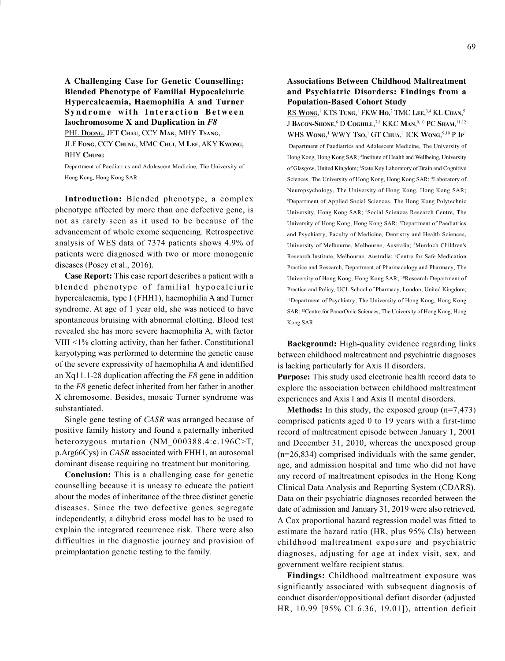A Challenging Case for Genetic Counselling: Blended Phenotype of Familial Hypocalciuric Hypercalcaemia, Haemophilia A and Turner Syndrome with Interaction Between Isochromosome X and Duplication in F8

PHL DOONG, JFT CHAU, CCY MAK, MHY TSANG,

JLF FONG, CCY CHUNG, MMC CHUI, M LEE, AKY KWONG, **BHY CHUNG** 

Department of Paediatrics and Adolescent Medicine, The University of Hong Kong, Hong Kong SAR

Introduction: Blended phenotype, a complex phenotype affected by more than one defective gene, is not as rarely seen as it used to be because of the advancement of whole exome sequencing. Retrospective analysis of WES data of 7374 patients shows 4.9% of patients were diagnosed with two or more monogenic diseases (Posey et al., 2016).

Case Report: This case report describes a patient with a blended phenotype of familial hypocalciuric hypercalcaemia, type I (FHH1), haemophilia A and Turner syndrome. At age of 1 year old, she was noticed to have spontaneous bruising with abnormal clotting. Blood test revealed she has more severe haemophilia A, with factor VIII <1% clotting activity, than her father. Constitutional karyotyping was performed to determine the genetic cause of the severe expressivity of haemophilia A and identified an Xq11.1-28 duplication affecting the  $F8$  gene in addition to the F8 genetic defect inherited from her father in another X chromosome. Besides, mosaic Turner syndrome was substantiated.

Single gene testing of CASR was arranged because of positive family history and found a paternally inherited heterozygous mutation (NM\_000388.4:c.196C>T, p.Arg66Cys) in CASR associated with FHH1, an autosomal dominant disease requiring no treatment but monitoring.

Conclusion: This is a challenging case for genetic counselling because it is uneasy to educate the patient about the modes of inheritance of the three distinct genetic diseases. Since the two defective genes segregate independently, a dihybrid cross model has to be used to explain the integrated recurrence risk. There were also difficulties in the diagnostic journey and provision of preimplantation genetic testing to the family.

#### Associations Between Childhood Maltreatment and Psychiatric Disorders: Findings from a Population-Based Cohort Study

RS Wong,<sup>1</sup> KTS Tung,<sup>1</sup> FKW Ho,<sup>2</sup> TMC Lee,<sup>3,4</sup> KL Chan,<sup>5</sup> J BACON-SHONE,<sup>6</sup> D Coghill,<sup>7,8</sup> KKC Man,<sup>9,10</sup> PC Sham,<sup>11,12</sup> WHS WONG,<sup>1</sup> WWY Tso,<sup>1</sup> GT Chua,<sup>1</sup> ICK Wong,<sup>9,10</sup> P Ip<sup>1</sup> <sup>1</sup>Department of Paediatrics and Adolescent Medicine, The University of Hong Kong, Hong Kong SAR; <sup>2</sup> Institute of Health and Wellbeing, University of Glasgow, United Kingdom; <sup>3</sup>State Key Laboratory of Brain and Cognitive Sciences, The University of Hong Kong, Hong Kong SAR; <sup>4</sup>Laboratory of Neuropsychology, The University of Hong Kong, Hong Kong SAR; <sup>5</sup>Department of Applied Social Sciences, The Hong Kong Polytechnic University, Hong Kong SAR; <sup>6</sup>Social Sciences Research Centre, The University of Hong Kong, Hong Kong SAR; <sup>7</sup>Department of Paediatrics and Psychiatry, Faculty of Medicine, Dentistry and Health Sciences, University of Melbourne, Melbourne, Australia; <sup>8</sup>Murdoch Children's Research Institute, Melbourne, Australia; <sup>9</sup>Centre for Safe Medication Practice and Research, Department of Pharmacology and Pharmacy, The University of Hong Kong, Hong Kong SAR; <sup>10</sup>Research Department of Practice and Policy, UCL School of Pharmacy, London, United Kingdom; <sup>11</sup>Department of Psychiatry, The University of Hong Kong, Hong Kong SAR; <sup>12</sup>Centre for PanorOmic Sciences, The University of Hong Kong, Hong Kong SAR

Background: High-quality evidence regarding links between childhood maltreatment and psychiatric diagnoses is lacking particularly for Axis II disorders.

Purpose: This study used electronic health record data to explore the association between childhood maltreatment experiences and Axis I and Axis II mental disorders.

**Methods:** In this study, the exposed group  $(n=7,473)$ comprised patients aged 0 to 19 years with a first-time record of maltreatment episode between January 1, 2001 and December 31, 2010, whereas the unexposed group (n=26,834) comprised individuals with the same gender, age, and admission hospital and time who did not have any record of maltreatment episodes in the Hong Kong Clinical Data Analysis and Reporting System (CDARS). Data on their psychiatric diagnoses recorded between the date of admission and January 31, 2019 were also retrieved. A Cox proportional hazard regression model was fitted to estimate the hazard ratio (HR, plus 95% CIs) between childhood maltreatment exposure and psychiatric diagnoses, adjusting for age at index visit, sex, and government welfare recipient status.

Findings: Childhood maltreatment exposure was significantly associated with subsequent diagnosis of conduct disorder/oppositional defiant disorder (adjusted HR, 10.99 [95% CI 6.36, 19.01]), attention deficit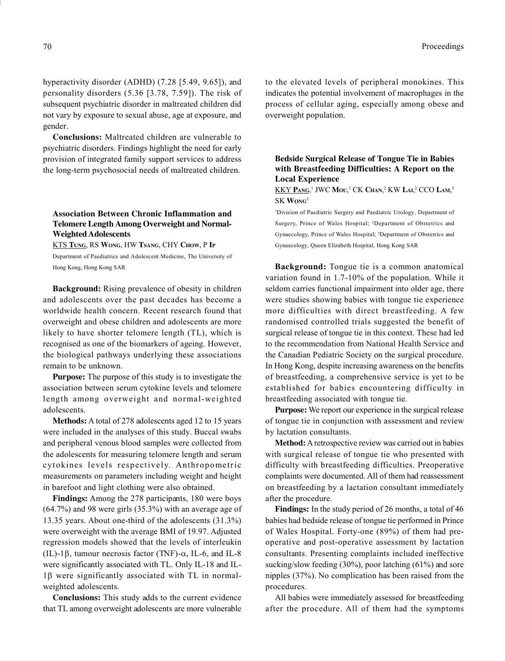hyperactivity disorder (ADHD) (7.28 [5.49, 9.65]), and personality disorders (5.36 [3.78, 7.59]). The risk of subsequent psychiatric disorder in maltreated children did not vary by exposure to sexual abuse, age at exposure, and gender.

Conclusions: Maltreated children are vulnerable to psychiatric disorders. Findings highlight the need for early provision of integrated family support services to address the long-term psychosocial needs of maltreated children.

# Association Between Chronic Inflammation and Telomere Length Among Overweight and Normal-Weighted Adolescents

KTS TUNG, RS WONG, HW TSANG, CHY CHOW, P IP

Department of Paediatrics and Adolescent Medicine, The University of Hong Kong, Hong Kong SAR

Background: Rising prevalence of obesity in children and adolescents over the past decades has become a worldwide health concern. Recent research found that overweight and obese children and adolescents are more likely to have shorter telomere length (TL), which is recognised as one of the biomarkers of ageing. However, the biological pathways underlying these associations remain to be unknown.

Purpose: The purpose of this study is to investigate the association between serum cytokine levels and telomere length among overweight and normal-weighted adolescents.

Methods: A total of 278 adolescents aged 12 to 15 years were included in the analyses of this study. Buccal swabs and peripheral venous blood samples were collected from the adolescents for measuring telomere length and serum cytokines levels respectively. Anthropometric measurements on parameters including weight and height in barefoot and light clothing were also obtained.

Findings: Among the 278 participants, 180 were boys (64.7%) and 98 were girls (35.3%) with an average age of 13.35 years. About one-third of the adolescents (31.3%) were overweight with the average BMI of 19.97. Adjusted regression models showed that the levels of interleukin (IL)-1 $\beta$ , tumour necrosis factor (TNF)- $\alpha$ , IL-6, and IL-8 were significantly associated with TL. Only IL-18 and IL- $1\beta$  were significantly associated with TL in normalweighted adolescents.

Conclusions: This study adds to the current evidence that TL among overweight adolescents are more vulnerable to the elevated levels of peripheral monokines. This indicates the potential involvement of macrophages in the process of cellular aging, especially among obese and overweight population.

Bedside Surgical Release of Tongue Tie in Babies with Breastfeeding Difficulties: A Report on the Local Experience

KKY Pang,<sup>1</sup> JWC Mou,<sup>1</sup> CK Chan,<sup>2</sup> KW Lai,<sup>2</sup> CCO Lam,<sup>3</sup> SK WONG<sup>3</sup>

<sup>1</sup>Division of Paediatric Surgery and Paediatric Urology, Department of Surgery, Prince of Wales Hospital; <sup>2</sup>Department of Obstetrics and Gynaecology, Prince of Wales Hospital; <sup>3</sup>Department of Obstetrics and Gynaecology, Queen Elizabeth Hospital, Hong Kong SAR

Background: Tongue tie is a common anatomical variation found in 1.7-10% of the population. While it seldom carries functional impairment into older age, there were studies showing babies with tongue tie experience more difficulties with direct breastfeeding. A few randomised controlled trials suggested the benefit of surgical release of tongue tie in this context. These had led to the recommendation from National Health Service and the Canadian Pediatric Society on the surgical procedure. In Hong Kong, despite increasing awareness on the benefits of breastfeeding, a comprehensive service is yet to be established for babies encountering difficulty in breastfeeding associated with tongue tie.

Purpose: We report our experience in the surgical release of tongue tie in conjunction with assessment and review by lactation consultants.

Method: A retrospective review was carried out in babies with surgical release of tongue tie who presented with difficulty with breastfeeding difficulties. Preoperative complaints were documented. All of them had reassessment on breastfeeding by a lactation consultant immediately after the procedure.

Findings: In the study period of 26 months, a total of 46 babies had bedside release of tongue tie performed in Prince of Wales Hospital. Forty-one (89%) of them had preoperative and post-operative assessment by lactation consultants. Presenting complaints included ineffective sucking/slow feeding (30%), poor latching (61%) and sore nipples (37%). No complication has been raised from the procedures.

All babies were immediately assessed for breastfeeding after the procedure. All of them had the symptoms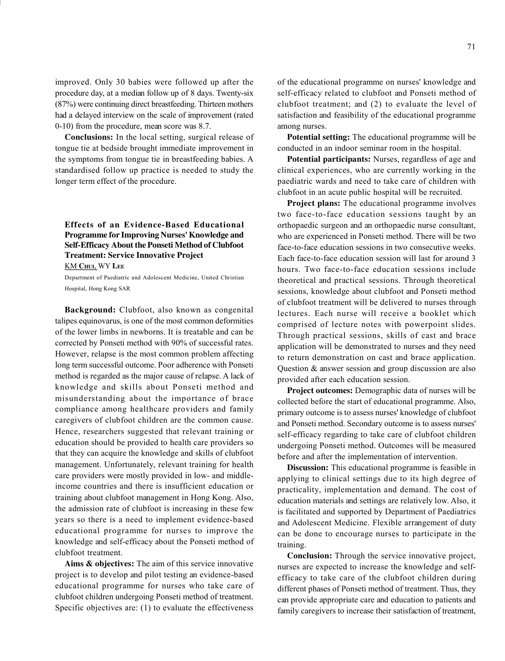improved. Only 30 babies were followed up after the procedure day, at a median follow up of 8 days. Twenty-six (87%) were continuing direct breastfeeding. Thirteen mothers had a delayed interview on the scale of improvement (rated 0-10) from the procedure, mean score was 8.7.

Conclusions: In the local setting, surgical release of tongue tie at bedside brought immediate improvement in the symptoms from tongue tie in breastfeeding babies. A standardised follow up practice is needed to study the longer term effect of the procedure.

# Effects of an Evidence-Based Educational Programme for Improving Nurses' Knowledge and Self-Efficacy About the Ponseti Method of Clubfoot Treatment: Service Innovative Project

KM CHUI, WY LEE

Department of Paediatric and Adolescent Medicine, United Christian Hospital, Hong Kong SAR

Background: Clubfoot, also known as congenital talipes equinovarus, is one of the most common deformities of the lower limbs in newborns. It is treatable and can be corrected by Ponseti method with 90% of successful rates. However, relapse is the most common problem affecting long term successful outcome. Poor adherence with Ponseti method is regarded as the major cause of relapse. A lack of knowledge and skills about Ponseti method and misunderstanding about the importance of brace compliance among healthcare providers and family caregivers of clubfoot children are the common cause. Hence, researchers suggested that relevant training or education should be provided to health care providers so that they can acquire the knowledge and skills of clubfoot management. Unfortunately, relevant training for health care providers were mostly provided in low- and middleincome countries and there is insufficient education or training about clubfoot management in Hong Kong. Also, the admission rate of clubfoot is increasing in these few years so there is a need to implement evidence-based educational programme for nurses to improve the knowledge and self-efficacy about the Ponseti method of clubfoot treatment.

Aims & objectives: The aim of this service innovative project is to develop and pilot testing an evidence-based educational programme for nurses who take care of clubfoot children undergoing Ponseti method of treatment. Specific objectives are: (1) to evaluate the effectiveness

of the educational programme on nurses' knowledge and self-efficacy related to clubfoot and Ponseti method of clubfoot treatment; and (2) to evaluate the level of satisfaction and feasibility of the educational programme among nurses.

Potential setting: The educational programme will be conducted in an indoor seminar room in the hospital.

Potential participants: Nurses, regardless of age and clinical experiences, who are currently working in the paediatric wards and need to take care of children with clubfoot in an acute public hospital will be recruited.

Project plans: The educational programme involves two face-to-face education sessions taught by an orthopaedic surgeon and an orthopaedic nurse consultant, who are experienced in Ponseti method. There will be two face-to-face education sessions in two consecutive weeks. Each face-to-face education session will last for around 3 hours. Two face-to-face education sessions include theoretical and practical sessions. Through theoretical sessions, knowledge about clubfoot and Ponseti method of clubfoot treatment will be delivered to nurses through lectures. Each nurse will receive a booklet which comprised of lecture notes with powerpoint slides. Through practical sessions, skills of cast and brace application will be demonstrated to nurses and they need to return demonstration on cast and brace application. Question & answer session and group discussion are also provided after each education session.

Project outcomes: Demographic data of nurses will be collected before the start of educational programme. Also, primary outcome is to assess nurses' knowledge of clubfoot and Ponseti method. Secondary outcome is to assess nurses' self-efficacy regarding to take care of clubfoot children undergoing Ponseti method. Outcomes will be measured before and after the implementation of intervention.

Discussion: This educational programme is feasible in applying to clinical settings due to its high degree of practicality, implementation and demand. The cost of education materials and settings are relatively low. Also, it is facilitated and supported by Department of Paediatrics and Adolescent Medicine. Flexible arrangement of duty can be done to encourage nurses to participate in the training.

Conclusion: Through the service innovative project, nurses are expected to increase the knowledge and selfefficacy to take care of the clubfoot children during different phases of Ponseti method of treatment. Thus, they can provide appropriate care and education to patients and family caregivers to increase their satisfaction of treatment,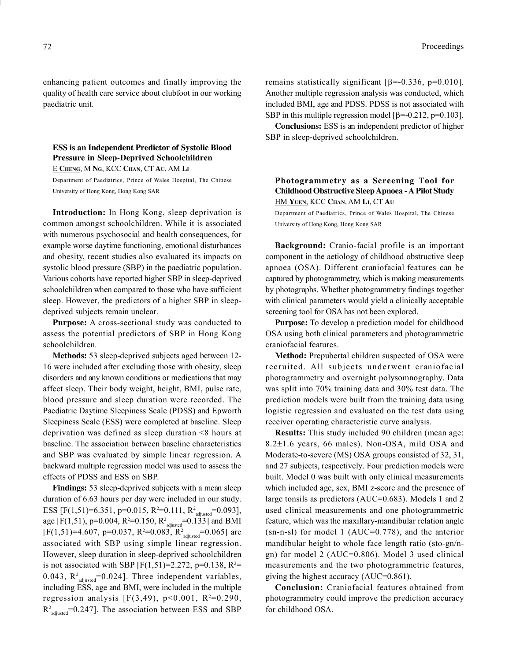enhancing patient outcomes and finally improving the quality of health care service about clubfoot in our working paediatric unit.

ESS is an Independent Predictor of Systolic Blood Pressure in Sleep-Deprived Schoolchildren

E CHENG, M NG, KCC CHAN, CT AU, AM L<sup>I</sup>

Department of Paediatrics, Prince of Wales Hospital, The Chinese University of Hong Kong, Hong Kong SAR

Introduction: In Hong Kong, sleep deprivation is common amongst schoolchildren. While it is associated with numerous psychosocial and health consequences, for example worse daytime functioning, emotional disturbances and obesity, recent studies also evaluated its impacts on systolic blood pressure (SBP) in the paediatric population. Various cohorts have reported higher SBP in sleep-deprived schoolchildren when compared to those who have sufficient sleep. However, the predictors of a higher SBP in sleepdeprived subjects remain unclear.

Purpose: A cross-sectional study was conducted to assess the potential predictors of SBP in Hong Kong schoolchildren.

Methods: 53 sleep-deprived subjects aged between 12- 16 were included after excluding those with obesity, sleep disorders and any known conditions or medications that may affect sleep. Their body weight, height, BMI, pulse rate, blood pressure and sleep duration were recorded. The Paediatric Daytime Sleepiness Scale (PDSS) and Epworth Sleepiness Scale (ESS) were completed at baseline. Sleep deprivation was defined as sleep duration <8 hours at baseline. The association between baseline characteristics and SBP was evaluated by simple linear regression. A backward multiple regression model was used to assess the effects of PDSS and ESS on SBP.

Findings: 53 sleep-deprived subjects with a mean sleep duration of 6.63 hours per day were included in our study. ESS [F(1,51)=6.351, p=0.015, R<sup>2</sup>=0.111, R<sup>2</sup><sub>adjusted</sub>=0.093], age [F(1,51), p=0.004, R<sup>2</sup>=0.150, R<sup>2</sup><sub>adjusted</sub>=0.133] and BMI  $[F(1,51)=4.607, p=0.037, R^2=0.083, R^2_{\text{adjusted}}=0.065]$  are associated with SBP using simple linear regression. However, sleep duration in sleep-deprived schoolchildren is not associated with SBP [F(1,51)=2.272, p=0.138,  $R^2$ = 0.043,  $R^2$ <sub>adjusted</sub>=0.024]. Three independent variables, including ESS, age and BMI, were included in the multiple regression analysis [F(3,49),  $p<0.001$ , R<sup>2=</sup>0.290,  $R^2$ <sub>adjusted</sub>=0.247]. The association between ESS and SBP remains statistically significant  $\beta = -0.336$ , p=0.010]. Another multiple regression analysis was conducted, which included BMI, age and PDSS. PDSS is not associated with SBP in this multiple regression model  $[\beta = -0.212, p=0.103]$ .

Conclusions: ESS is an independent predictor of higher SBP in sleep-deprived schoolchildren.

## Photogrammetry as a Screening Tool for Childhood Obstructive Sleep Apnoea - A Pilot Study HM YUEN, KCC CHAN, AM LI, CT AU

Department of Paediatrics, Prince of Wales Hospital, The Chinese University of Hong Kong, Hong Kong SAR

Background: Cranio-facial profile is an important component in the aetiology of childhood obstructive sleep apnoea (OSA). Different craniofacial features can be captured by photogrammetry, which is making measurements by photographs. Whether photogrammetry findings together with clinical parameters would yield a clinically acceptable screening tool for OSA has not been explored.

Purpose: To develop a prediction model for childhood OSA using both clinical parameters and photogrammetric craniofacial features.

Method: Prepubertal children suspected of OSA were recruited. All subjects underwent craniofacial photogrammetry and overnight polysomnography. Data was split into 70% training data and 30% test data. The prediction models were built from the training data using logistic regression and evaluated on the test data using receiver operating characteristic curve analysis.

Results: This study included 90 children (mean age:  $8.2\pm1.6$  years, 66 males). Non-OSA, mild OSA and Moderate-to-severe (MS) OSA groups consisted of 32, 31, and 27 subjects, respectively. Four prediction models were built. Model 0 was built with only clinical measurements which included age, sex, BMI z-score and the presence of large tonsils as predictors (AUC=0.683). Models 1 and 2 used clinical measurements and one photogrammetric feature, which was the maxillary-mandibular relation angle (sn-n-sl) for model 1 (AUC=0.778), and the anterior mandibular height to whole face length ratio (sto-gn/ngn) for model 2 (AUC=0.806). Model 3 used clinical measurements and the two photogrammetric features, giving the highest accuracy (AUC=0.861).

Conclusion: Craniofacial features obtained from photogrammetry could improve the prediction accuracy for childhood OSA.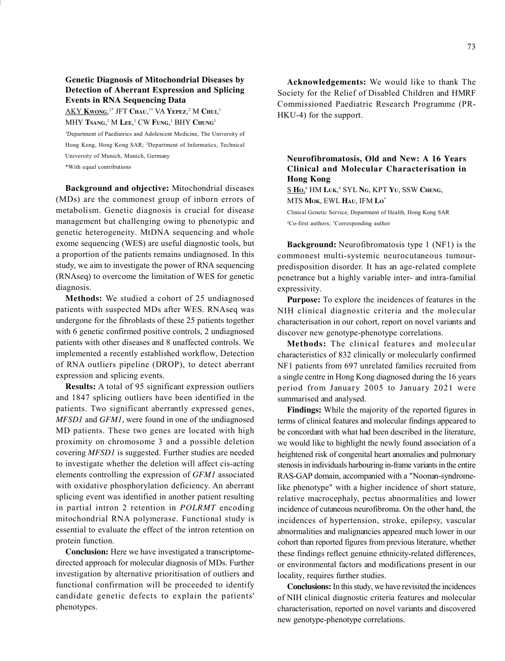# Genetic Diagnosis of Mitochondrial Diseases by Detection of Aberrant Expression and Splicing Events in RNA Sequencing Data

 $\overline{\rm AKY\,Kwong,}^{1*}$  JFT Chau, $^{1*}$  VA Yepez, $^2$  M Chui, $^1$ MHY  $\mathbf{Ts}$ ang, $^1$  M Lee, $^1$  CW Fung, $^1$  BHY Chung $^1$ 

<sup>1</sup>Department of Paediatrics and Adolescent Medicine, The University of Hong Kong, Hong Kong SAR; <sup>2</sup>Department of Informatics, Technical University of Munich, Munich, Germany

\*With equal contributions

Background and objective: Mitochondrial diseases (MDs) are the commonest group of inborn errors of metabolism. Genetic diagnosis is crucial for disease management but challenging owing to phenotypic and genetic heterogeneity. MtDNA sequencing and whole exome sequencing (WES) are useful diagnostic tools, but a proportion of the patients remains undiagnosed. In this study, we aim to investigate the power of RNA sequencing (RNAseq) to overcome the limitation of WES for genetic diagnosis.

Methods: We studied a cohort of 25 undiagnosed patients with suspected MDs after WES. RNAseq was undergone for the fibroblasts of these 25 patients together with 6 genetic confirmed positive controls, 2 undiagnosed patients with other diseases and 8 unaffected controls. We implemented a recently established workflow, Detection of RNA outliers pipeline (DROP), to detect aberrant expression and splicing events.

Results: A total of 95 significant expression outliers and 1847 splicing outliers have been identified in the patients. Two significant aberrantly expressed genes, MFSD1 and GFM1, were found in one of the undiagnosed MD patients. These two genes are located with high proximity on chromosome 3 and a possible deletion covering MFSD1 is suggested. Further studies are needed to investigate whether the deletion will affect cis-acting elements controlling the expression of GFM1 associated with oxidative phosphorylation deficiency. An aberrant splicing event was identified in another patient resulting in partial intron 2 retention in POLRMT encoding mitochondrial RNA polymerase. Functional study is essential to evaluate the effect of the intron retention on protein function.

Conclusion: Here we have investigated a transcriptomedirected approach for molecular diagnosis of MDs. Further investigation by alternative prioritisation of outliers and functional confirmation will be proceeded to identify candidate genetic defects to explain the patients' phenotypes.

Acknowledgements: We would like to thank The Society for the Relief of Disabled Children and HMRF Commissioned Paediatric Research Programme (PR-HKU-4) for the support.

Neurofibromatosis, Old and New: A 16 Years Clinical and Molecular Characterisation in Hong Kong  $S$  Ho," HM Luk," SYL Ng, KPT Yu, SSW Cheng, MTS Mok, EWL Hau, IFM Lo<sup>\*</sup>

Clinical Genetic Service, Department of Health, Hong Kong SAR #Co-first authors; \*Corresponding author

Background: Neurofibromatosis type 1 (NF1) is the commonest multi-systemic neurocutaneous tumourpredisposition disorder. It has an age-related complete penetrance but a highly variable inter- and intra-familial expressivity.

Purpose: To explore the incidences of features in the NIH clinical diagnostic criteria and the molecular characterisation in our cohort, report on novel variants and discover new genotype-phenotype correlations.

Methods: The clinical features and molecular characteristics of 832 clinically or molecularly confirmed NF1 patients from 697 unrelated families recruited from a single centre in Hong Kong diagnosed during the 16 years period from January 2005 to January 2021 were summarised and analysed.

Findings: While the majority of the reported figures in terms of clinical features and molecular findings appeared to be concordant with what had been described in the literature, we would like to highlight the newly found association of a heightened risk of congenital heart anomalies and pulmonary stenosis in individuals harbouring in-frame variants in the entire RAS-GAP domain, accompanied with a "Noonan-syndromelike phenotype" with a higher incidence of short stature, relative macrocephaly, pectus abnormalities and lower incidence of cutaneous neurofibroma. On the other hand, the incidences of hypertension, stroke, epilepsy, vascular abnormalities and malignancies appeared much lower in our cohort than reported figures from previous literature, whether these findings reflect genuine ethnicity-related differences, or environmental factors and modifications present in our locality, requires further studies.

Conclusions: In this study, we have revisited the incidences of NIH clinical diagnostic criteria features and molecular characterisation, reported on novel variants and discovered new genotype-phenotype correlations.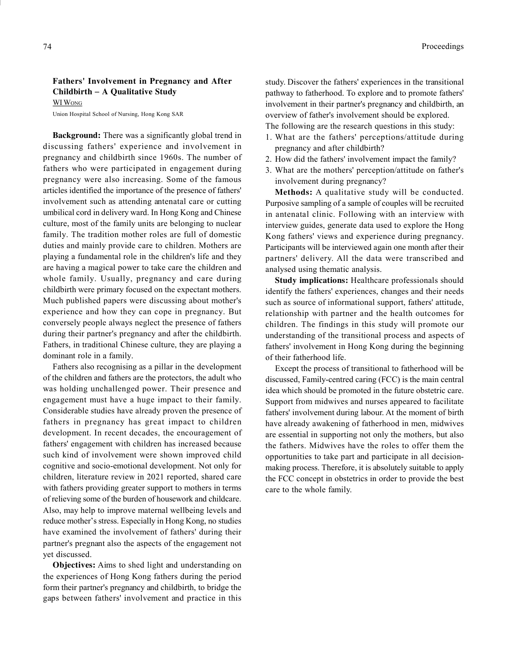# Fathers' Involvement in Pregnancy and After  $Childbirth - A Qualitative Study$

WI WONG

Union Hospital School of Nursing, Hong Kong SAR

Background: There was a significantly global trend in discussing fathers' experience and involvement in pregnancy and childbirth since 1960s. The number of fathers who were participated in engagement during pregnancy were also increasing. Some of the famous articles identified the importance of the presence of fathers' involvement such as attending antenatal care or cutting umbilical cord in delivery ward. In Hong Kong and Chinese culture, most of the family units are belonging to nuclear family. The tradition mother roles are full of domestic duties and mainly provide care to children. Mothers are playing a fundamental role in the children's life and they are having a magical power to take care the children and whole family. Usually, pregnancy and care during childbirth were primary focused on the expectant mothers. Much published papers were discussing about mother's experience and how they can cope in pregnancy. But conversely people always neglect the presence of fathers during their partner's pregnancy and after the childbirth. Fathers, in traditional Chinese culture, they are playing a dominant role in a family.

Fathers also recognising as a pillar in the development of the children and fathers are the protectors, the adult who was holding unchallenged power. Their presence and engagement must have a huge impact to their family. Considerable studies have already proven the presence of fathers in pregnancy has great impact to children development. In recent decades, the encouragement of fathers' engagement with children has increased because such kind of involvement were shown improved child cognitive and socio-emotional development. Not only for children, literature review in 2021 reported, shared care with fathers providing greater support to mothers in terms of relieving some of the burden of housework and childcare. Also, may help to improve maternal wellbeing levels and reduce mother's stress. Especially in Hong Kong, no studies have examined the involvement of fathers' during their partner's pregnant also the aspects of the engagement not yet discussed.

Objectives: Aims to shed light and understanding on the experiences of Hong Kong fathers during the period form their partner's pregnancy and childbirth, to bridge the gaps between fathers' involvement and practice in this study. Discover the fathers' experiences in the transitional pathway to fatherhood. To explore and to promote fathers' involvement in their partner's pregnancy and childbirth, an overview of father's involvement should be explored.

The following are the research questions in this study:

- 1. What are the fathers' perceptions/attitude during pregnancy and after childbirth?
- 2. How did the fathers' involvement impact the family?
- 3. What are the mothers' perception/attitude on father's involvement during pregnancy?

Methods: A qualitative study will be conducted. Purposive sampling of a sample of couples will be recruited in antenatal clinic. Following with an interview with interview guides, generate data used to explore the Hong Kong fathers' views and experience during pregnancy. Participants will be interviewed again one month after their partners' delivery. All the data were transcribed and analysed using thematic analysis.

Study implications: Healthcare professionals should identify the fathers' experiences, changes and their needs such as source of informational support, fathers' attitude, relationship with partner and the health outcomes for children. The findings in this study will promote our understanding of the transitional process and aspects of fathers' involvement in Hong Kong during the beginning of their fatherhood life.

Except the process of transitional to fatherhood will be discussed, Family-centred caring (FCC) is the main central idea which should be promoted in the future obstetric care. Support from midwives and nurses appeared to facilitate fathers' involvement during labour. At the moment of birth have already awakening of fatherhood in men, midwives are essential in supporting not only the mothers, but also the fathers. Midwives have the roles to offer them the opportunities to take part and participate in all decisionmaking process. Therefore, it is absolutely suitable to apply the FCC concept in obstetrics in order to provide the best care to the whole family.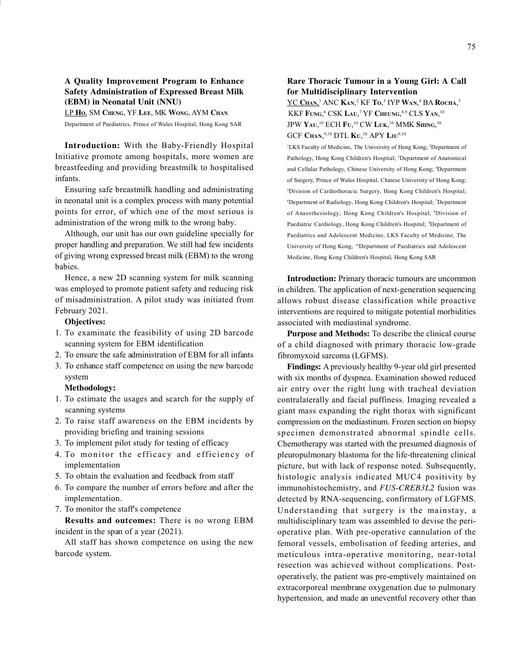#### A Quality Improvement Program to Enhance Safety Administration of Expressed Breast Milk (EBM) in Neonatal Unit (NNU)

LP HO, SM CHENG, YF LEE, MK WONG, AYM CHAN Department of Paediatrics, Prince of Wales Hospital, Hong Kong SAR

Introduction: With the Baby-Friendly Hospital Initiative promote among hospitals, more women are breastfeeding and providing breastmilk to hospitalised infants.

Ensuring safe breastmilk handling and administrating in neonatal unit is a complex process with many potential points for error, of which one of the most serious is administration of the wrong milk to the wrong baby.

Although, our unit has our own guideline specially for proper handling and preparation. We still had few incidents of giving wrong expressed breast milk (EBM) to the wrong babies.

Hence, a new 2D scanning system for milk scanning was employed to promote patient safety and reducing risk of misadministration. A pilot study was initiated from February 2021.

#### Objectives:

- 1. To examinate the feasibility of using 2D barcode scanning system for EBM identification
- 2. To ensure the safe administration of EBM for all infants
- 3. To enhance staff competence on using the new barcode system

#### Methodology:

- 1. To estimate the usages and search for the supply of scanning systems
- 2. To raise staff awareness on the EBM incidents by providing briefing and training sessions
- 3. To implement pilot study for testing of efficacy
- 4. To monitor the efficacy and efficiency of implementation
- 5. To obtain the evaluation and feedback from staff
- 6. To compare the number of errors before and after the implementation.
- 7. To monitor the staff's competence

Results and outcomes: There is no wrong EBM incident in the span of a year (2021).

All staff has shown competence on using the new barcode system.

#### Rare Thoracic Tumour in a Young Girl: A Call for Multidisciplinary Intervention

<u>YC Chan,'</u> ANC **K**an,<sup>2</sup> KF To,<sup>3</sup> IYP Wan,<sup>4</sup> BA Rocha,<sup>5</sup> KKF FUNG,<sup>6</sup> CSK Lau,<sup>7</sup> YF Cheung,<sup>8,9</sup> CLS Yan,<sup>10</sup> JPW Yau,<sup>10</sup> ECH Fu,<sup>10</sup> CW Luk,<sup>10</sup> MMK Shing,<sup>10</sup> GCF Chan,<sup>9,10</sup> DTL **K**u,<sup>10</sup> APY Liu<sup>9,10</sup>

<sup>1</sup>LKS Faculty of Medicine, The University of Hong Kong; <sup>2</sup>Department of Pathology, Hong Kong Children's Hospital; <sup>3</sup>Department of Anatomical and Cellular Pathology, Chinese University of Hong Kong; <sup>4</sup>Department of Surgery, Prince of Wales Hospital, Chinese University of Hong Kong; <sup>5</sup>Division of Cardiothoracic Surgery, Hong Kong Children's Hospital; <sup>6</sup>Department of Radiology, Hong Kong Children's Hospital; <sup>7</sup>Department of Anaesthesiology, Hong Kong Children's Hospital; <sup>8</sup>Division of Paediatric Cardiology, Hong Kong Children's Hospital; <sup>9</sup>Department of Paediatrics and Adolescent Medicine, LKS Faculty of Medicine, The University of Hong Kong; <sup>10</sup>Department of Paediatrics and Adolescent Medicine, Hong Kong Children's Hospital, Hong Kong SAR

Introduction: Primary thoracic tumours are uncommon in children. The application of next-generation sequencing allows robust disease classification while proactive interventions are required to mitigate potential morbidities associated with mediastinal syndrome.

Purpose and Methods: To describe the clinical course of a child diagnosed with primary thoracic low-grade fibromyxoid sarcoma (LGFMS).

Findings: A previously healthy 9-year old girl presented with six months of dyspnea. Examination showed reduced air entry over the right lung with tracheal deviation contralaterally and facial puffiness. Imaging revealed a giant mass expanding the right thorax with significant compression on the mediastinum. Frozen section on biopsy specimen demonstrated abnormal spindle cells. Chemotherapy was started with the presumed diagnosis of pleuropulmonary blastoma for the life-threatening clinical picture, but with lack of response noted. Subsequently, histologic analysis indicated MUC4 positivity by immunohistochemistry, and FUS-CREB3L2 fusion was detected by RNA-sequencing, confirmatory of LGFMS. Understanding that surgery is the mainstay, a multidisciplinary team was assembled to devise the perioperative plan. With pre-operative cannulation of the femoral vessels, embolisation of feeding arteries, and meticulous intra-operative monitoring, near-total resection was achieved without complications. Postoperatively, the patient was pre-emptively maintained on extracorporeal membrane oxygenation due to pulmonary hypertension, and made an uneventful recovery other than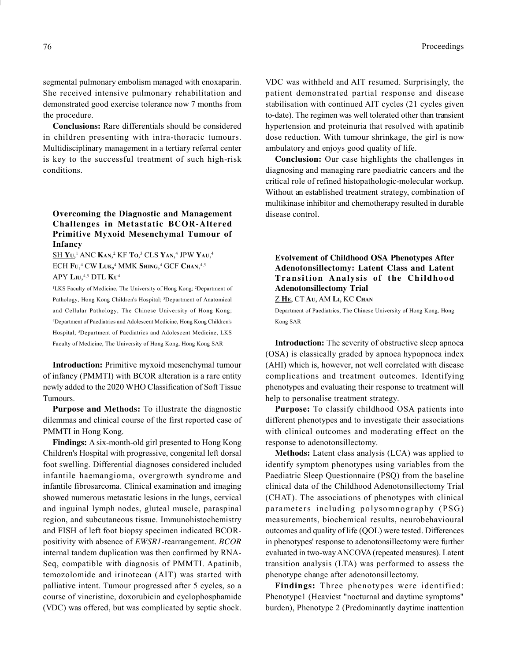segmental pulmonary embolism managed with enoxaparin. She received intensive pulmonary rehabilitation and demonstrated good exercise tolerance now 7 months from the procedure.

Conclusions: Rare differentials should be considered in children presenting with intra-thoracic tumours. Multidisciplinary management in a tertiary referral center is key to the successful treatment of such high-risk conditions.

# Overcoming the Diagnostic and Management Challenges in Metastatic BCOR-Altered Primitive Myxoid Mesenchymal Tumour of Infancy

 $\underline{\text{SH Y}}\text{U,}^1\text{ ANC K}\text{AN,}^2\text{ KF To,}^3\text{ CLS Y}\text{AN,}^4\text{ JPW Y}\text{AU,}^4$ ECH Fu,<sup>4</sup> CW Luk,<sup>4</sup> MMK Shing,<sup>4</sup> GCF Chan,<sup>4,5</sup> APY  $\rm L\rm I\rm U,^{4,5}$  DTL  $\rm K\rm U^4$ 

<sup>1</sup>LKS Faculty of Medicine, The University of Hong Kong; <sup>2</sup>Department of Pathology, Hong Kong Children's Hospital; <sup>3</sup>Department of Anatomical and Cellular Pathology, The Chinese University of Hong Kong; <sup>4</sup>Department of Paediatrics and Adolescent Medicine, Hong Kong Children's Hospital; <sup>5</sup>Department of Paediatrics and Adolescent Medicine, LKS Faculty of Medicine, The University of Hong Kong, Hong Kong SAR

Introduction: Primitive myxoid mesenchymal tumour of infancy (PMMTI) with BCOR alteration is a rare entity newly added to the 2020 WHO Classification of Soft Tissue Tumours.

Purpose and Methods: To illustrate the diagnostic dilemmas and clinical course of the first reported case of PMMTI in Hong Kong.

Findings: A six-month-old girl presented to Hong Kong Children's Hospital with progressive, congenital left dorsal foot swelling. Differential diagnoses considered included infantile haemangioma, overgrowth syndrome and infantile fibrosarcoma. Clinical examination and imaging showed numerous metastatic lesions in the lungs, cervical and inguinal lymph nodes, gluteal muscle, paraspinal region, and subcutaneous tissue. Immunohistochemistry and FISH of left foot biopsy specimen indicated BCORpositivity with absence of EWSR1-rearrangement. BCOR internal tandem duplication was then confirmed by RNA-Seq, compatible with diagnosis of PMMTI. Apatinib, temozolomide and irinotecan (AIT) was started with palliative intent. Tumour progressed after 5 cycles, so a course of vincristine, doxorubicin and cyclophosphamide (VDC) was offered, but was complicated by septic shock.

VDC was withheld and AIT resumed. Surprisingly, the patient demonstrated partial response and disease stabilisation with continued AIT cycles (21 cycles given to-date). The regimen was well tolerated other than transient hypertension and proteinuria that resolved with apatinib dose reduction. With tumour shrinkage, the girl is now ambulatory and enjoys good quality of life.

Conclusion: Our case highlights the challenges in diagnosing and managing rare paediatric cancers and the critical role of refined histopathologic-molecular workup. Without an established treatment strategy, combination of multikinase inhibitor and chemotherapy resulted in durable disease control.

# Evolvement of Childhood OSA Phenotypes After Adenotonsillectomy: Latent Class and Latent Transition Analysis of the Childhood Adenotonsillectomy Trial

Z HE, CT AU, AM LI, KC CHAN

Department of Paediatrics, The Chinese University of Hong Kong, Hong Kong SAR

Introduction: The severity of obstructive sleep apnoea (OSA) is classically graded by apnoea hypopnoea index (AHI) which is, however, not well correlated with disease complications and treatment outcomes. Identifying phenotypes and evaluating their response to treatment will help to personalise treatment strategy.

Purpose: To classify childhood OSA patients into different phenotypes and to investigate their associations with clinical outcomes and moderating effect on the response to adenotonsillectomy.

Methods: Latent class analysis (LCA) was applied to identify symptom phenotypes using variables from the Paediatric Sleep Questionnaire (PSQ) from the baseline clinical data of the Childhood Adenotonsillectomy Trial (CHAT). The associations of phenotypes with clinical parameters including polysomnography (PSG) measurements, biochemical results, neurobehavioural outcomes and quality of life (QOL) were tested. Differences in phenotypes' response to adenotonsillectomy were further evaluated in two-way ANCOVA (repeated measures). Latent transition analysis (LTA) was performed to assess the phenotype change after adenotonsillectomy.

Findings: Three phenotypes were identified: Phenotype1 (Heaviest "nocturnal and daytime symptoms" burden), Phenotype 2 (Predominantly daytime inattention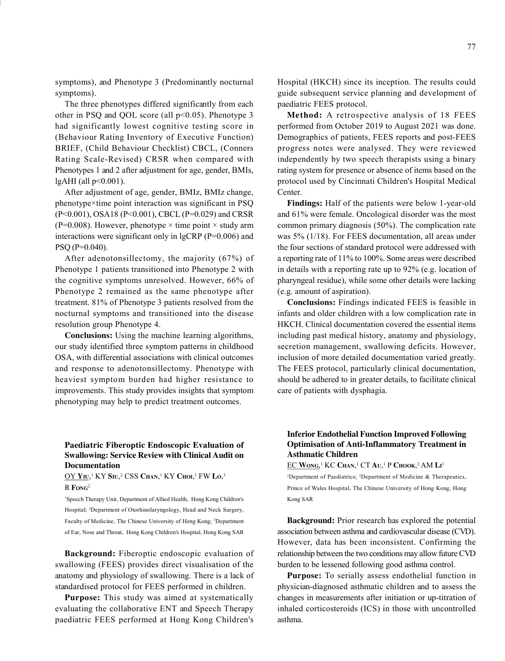symptoms), and Phenotype 3 (Predominantly nocturnal symptoms).

The three phenotypes differed significantly from each other in PSQ and QOL score (all p<0.05). Phenotype 3 had significantly lowest cognitive testing score in (Behaviour Rating Inventory of Executive Function) BRIEF, (Child Behaviour Checklist) CBCL, (Conners Rating Scale-Revised) CRSR when compared with Phenotypes 1 and 2 after adjustment for age, gender, BMIs, lgAHI (all p<0.001).

After adjustment of age, gender, BMIz, BMIz change, phenotype×time point interaction was significant in PSQ (P<0.001), OSA18 (P<0.001), CBCL (P=0.029) and CRSR (P=0.008). However, phenotype  $\times$  time point  $\times$  study arm interactions were significant only in lgCRP (P=0.006) and PSQ (P=0.040).

After adenotonsillectomy, the majority (67%) of Phenotype 1 patients transitioned into Phenotype 2 with the cognitive symptoms unresolved. However, 66% of Phenotype 2 remained as the same phenotype after treatment. 81% of Phenotype 3 patients resolved from the nocturnal symptoms and transitioned into the disease resolution group Phenotype 4.

Conclusions: Using the machine learning algorithms, our study identified three symptom patterns in childhood OSA, with differential associations with clinical outcomes and response to adenotonsillectomy. Phenotype with heaviest symptom burden had higher resistance to improvements. This study provides insights that symptom phenotyping may help to predict treatment outcomes.

# Hospital (HKCH) since its inception. The results could guide subsequent service planning and development of paediatric FEES protocol.

Method: A retrospective analysis of 18 FEES performed from October 2019 to August 2021 was done. Demographics of patients, FEES reports and post-FEES progress notes were analysed. They were reviewed independently by two speech therapists using a binary rating system for presence or absence of items based on the protocol used by Cincinnati Children's Hospital Medical Center.

Findings: Half of the patients were below 1-year-old and 61% were female. Oncological disorder was the most common primary diagnosis (50%). The complication rate was 5% (1/18). For FEES documentation, all areas under the four sections of standard protocol were addressed with a reporting rate of 11% to 100%. Some areas were described in details with a reporting rate up to 92% (e.g. location of pharyngeal residue), while some other details were lacking (e.g. amount of aspiration).

Conclusions: Findings indicated FEES is feasible in infants and older children with a low complication rate in HKCH. Clinical documentation covered the essential items including past medical history, anatomy and physiology, secretion management, swallowing deficits. However, inclusion of more detailed documentation varied greatly. The FEES protocol, particularly clinical documentation, should be adhered to in greater details, to facilitate clinical care of patients with dysphagia.

## Paediatric Fiberoptic Endoscopic Evaluation of Swallowing: Service Review with Clinical Audit on Documentation

 $\rm OY~Y\rm I\rm U,^1~KY~S\rm I\rm U,^2~CSS~C\rm HAN,^1~KY~C\rm HO,^1~FW~Lo,^3$  $R$  Fong<sup>2</sup>

<sup>1</sup>Speech Therapy Unit, Department of Allied Health, Hong Kong Children's Hospital; <sup>2</sup>Department of Otorhinolaryngology, Head and Neck Surgery, Faculty of Medicine, The Chinese University of Hong Kong; <sup>3</sup>Department of Ear, Nose and Throat, Hong Kong Children's Hospital, Hong Kong SAR

Background: Fiberoptic endoscopic evaluation of swallowing (FEES) provides direct visualisation of the anatomy and physiology of swallowing. There is a lack of standardised protocol for FEES performed in children.

Purpose: This study was aimed at systematically evaluating the collaborative ENT and Speech Therapy paediatric FEES performed at Hong Kong Children's

# Inferior Endothelial Function Improved Following Optimisation of Anti-Inflammatory Treatment in Asthmatic Children

<u>EC Wong,<sup>1</sup></u> KC Chan,<sup>1</sup> CT Au,<sup>1</sup> P Chook,<sup>2</sup> AM Li<sup>1</sup>

<sup>1</sup>Department of Paediatrics; <sup>2</sup>Department of Medicine & Therapeutics, Prince of Wales Hospital, The Chinese University of Hong Kong, Hong Kong SAR

Background: Prior research has explored the potential association between asthma and cardiovascular disease (CVD). However, data has been inconsistent. Confirming the relationship between the two conditions may allow future CVD burden to be lessened following good asthma control.

Purpose: To serially assess endothelial function in physician-diagnosed asthmatic children and to assess the changes in measurements after initiation or up-titration of inhaled corticosteroids (ICS) in those with uncontrolled asthma.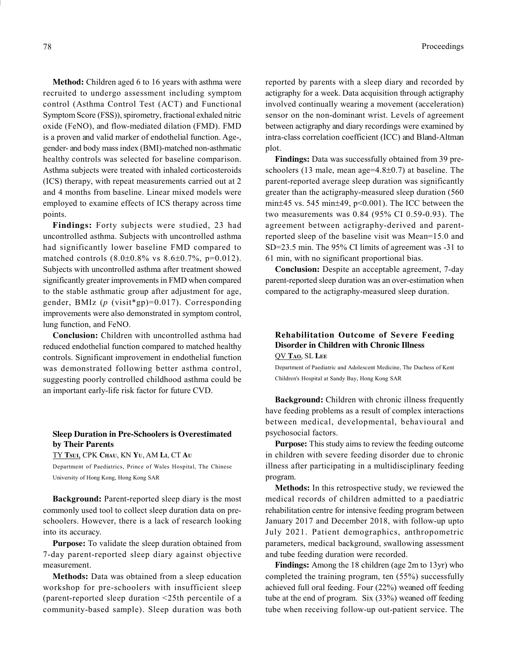Method: Children aged 6 to 16 years with asthma were recruited to undergo assessment including symptom control (Asthma Control Test (ACT) and Functional Symptom Score (FSS)), spirometry, fractional exhaled nitric oxide (FeNO), and flow-mediated dilation (FMD). FMD is a proven and valid marker of endothelial function. Age-, gender- and body mass index (BMI)-matched non-asthmatic healthy controls was selected for baseline comparison. Asthma subjects were treated with inhaled corticosteroids (ICS) therapy, with repeat measurements carried out at 2 and 4 months from baseline. Linear mixed models were employed to examine effects of ICS therapy across time points.

Findings: Forty subjects were studied, 23 had uncontrolled asthma. Subjects with uncontrolled asthma had significantly lower baseline FMD compared to matched controls  $(8.0\pm0.8\% \text{ vs } 8.6\pm0.7\%, \text{p=0.012}).$ Subjects with uncontrolled asthma after treatment showed significantly greater improvements in FMD when compared to the stable asthmatic group after adjustment for age, gender, BMIz ( $p$  (visit\*gp)=0.017). Corresponding improvements were also demonstrated in symptom control, lung function, and FeNO.

Conclusion: Children with uncontrolled asthma had reduced endothelial function compared to matched healthy controls. Significant improvement in endothelial function was demonstrated following better asthma control, suggesting poorly controlled childhood asthma could be an important early-life risk factor for future CVD.

# Sleep Duration in Pre-Schoolers is Overestimated by Their Parents

TY TSUI, CPK CHAU, KN YU, AM LI, CT A<sup>U</sup>

Department of Paediatrics, Prince of Wales Hospital, The Chinese University of Hong Kong, Hong Kong SAR

Background: Parent-reported sleep diary is the most commonly used tool to collect sleep duration data on preschoolers. However, there is a lack of research looking into its accuracy.

Purpose: To validate the sleep duration obtained from 7-day parent-reported sleep diary against objective measurement.

Methods: Data was obtained from a sleep education workshop for pre-schoolers with insufficient sleep (parent-reported sleep duration <25th percentile of a community-based sample). Sleep duration was both reported by parents with a sleep diary and recorded by actigraphy for a week. Data acquisition through actigraphy involved continually wearing a movement (acceleration) sensor on the non-dominant wrist. Levels of agreement between actigraphy and diary recordings were examined by intra-class correlation coefficient (ICC) and Bland-Altman plot.

Findings: Data was successfully obtained from 39 preschoolers (13 male, mean age= $4.8\pm0.7$ ) at baseline. The parent-reported average sleep duration was significantly greater than the actigraphy-measured sleep duration (560 min $\pm$ 45 vs. 545 min $\pm$ 49, p<0.001). The ICC between the two measurements was 0.84 (95% CI 0.59-0.93). The agreement between actigraphy-derived and parentreported sleep of the baseline visit was Mean=15.0 and SD=23.5 min. The 95% CI limits of agreement was -31 to 61 min, with no significant proportional bias.

Conclusion: Despite an acceptable agreement, 7-day parent-reported sleep duration was an over-estimation when compared to the actigraphy-measured sleep duration.

## Rehabilitation Outcome of Severe Feeding Disorder in Children with Chronic Illness QV TAO, SL LEE

Department of Paediatric and Adolescent Medicine, The Duchess of Kent Children's Hospital at Sandy Bay, Hong Kong SAR

Background: Children with chronic illness frequently have feeding problems as a result of complex interactions between medical, developmental, behavioural and psychosocial factors.

Purpose: This study aims to review the feeding outcome in children with severe feeding disorder due to chronic illness after participating in a multidisciplinary feeding program.

Methods: In this retrospective study, we reviewed the medical records of children admitted to a paediatric rehabilitation centre for intensive feeding program between January 2017 and December 2018, with follow-up upto July 2021. Patient demographics, anthropometric parameters, medical background, swallowing assessment and tube feeding duration were recorded.

Findings: Among the 18 children (age 2m to 13yr) who completed the training program, ten (55%) successfully achieved full oral feeding. Four (22%) weaned off feeding tube at the end of program. Six (33%) weaned off feeding tube when receiving follow-up out-patient service. The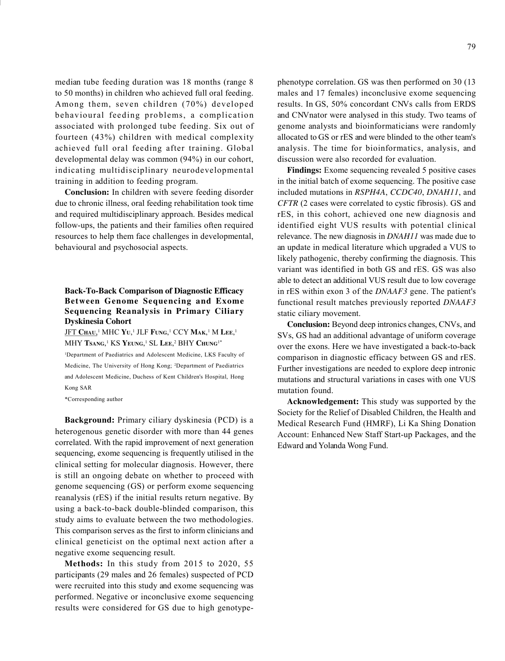median tube feeding duration was 18 months (range 8 to 50 months) in children who achieved full oral feeding. Among them, seven children (70%) developed behavioural feeding problems, a complication associated with prolonged tube feeding. Six out of fourteen (43%) children with medical complexity achieved full oral feeding after training. Global developmental delay was common (94%) in our cohort, indicating multidisciplinary neurodevelopmental training in addition to feeding program.

Conclusion: In children with severe feeding disorder due to chronic illness, oral feeding rehabilitation took time and required multidisciplinary approach. Besides medical follow-ups, the patients and their families often required resources to help them face challenges in developmental, behavioural and psychosocial aspects.

# Back-To-Back Comparison of Diagnostic Efficacy Between Genome Sequencing and Exome Sequencing Reanalysis in Primary Ciliary Dyskinesia Cohort

<u>JFT Chau,</u>' MHC Yu,' JLF Fung,' CCY Mak,' M Lee,' MHY Tsang,<sup>1</sup> KS Yeung,<sup>1</sup> SL Lee,<sup>2</sup> BHY Chung<sup>1\*</sup>

<sup>1</sup>Department of Paediatrics and Adolescent Medicine, LKS Faculty of Medicine, The University of Hong Kong; <sup>2</sup>Department of Paediatrics and Adolescent Medicine, Duchess of Kent Children's Hospital, Hong Kong SAR

\*Corresponding author

Background: Primary ciliary dyskinesia (PCD) is a heterogenous genetic disorder with more than 44 genes correlated. With the rapid improvement of next generation sequencing, exome sequencing is frequently utilised in the clinical setting for molecular diagnosis. However, there is still an ongoing debate on whether to proceed with genome sequencing (GS) or perform exome sequencing reanalysis (rES) if the initial results return negative. By using a back-to-back double-blinded comparison, this study aims to evaluate between the two methodologies. This comparison serves as the first to inform clinicians and clinical geneticist on the optimal next action after a negative exome sequencing result.

Methods: In this study from 2015 to 2020, 55 participants (29 males and 26 females) suspected of PCD were recruited into this study and exome sequencing was performed. Negative or inconclusive exome sequencing results were considered for GS due to high genotypephenotype correlation. GS was then performed on 30 (13 males and 17 females) inconclusive exome sequencing results. In GS, 50% concordant CNVs calls from ERDS and CNVnator were analysed in this study. Two teams of genome analysts and bioinformaticians were randomly allocated to GS or rES and were blinded to the other team's analysis. The time for bioinformatics, analysis, and discussion were also recorded for evaluation.

Findings: Exome sequencing revealed 5 positive cases in the initial batch of exome sequencing. The positive case included mutations in RSPH4A, CCDC40, DNAH11, and CFTR (2 cases were correlated to cystic fibrosis). GS and rES, in this cohort, achieved one new diagnosis and identified eight VUS results with potential clinical relevance. The new diagnosis in DNAH11 was made due to an update in medical literature which upgraded a VUS to likely pathogenic, thereby confirming the diagnosis. This variant was identified in both GS and rES. GS was also able to detect an additional VUS result due to low coverage in rES within exon 3 of the DNAAF3 gene. The patient's functional result matches previously reported DNAAF3 static ciliary movement.

Conclusion: Beyond deep intronics changes, CNVs, and SVs, GS had an additional advantage of uniform coverage over the exons. Here we have investigated a back-to-back comparison in diagnostic efficacy between GS and rES. Further investigations are needed to explore deep intronic mutations and structural variations in cases with one VUS mutation found.

Acknowledgement: This study was supported by the Society for the Relief of Disabled Children, the Health and Medical Research Fund (HMRF), Li Ka Shing Donation Account: Enhanced New Staff Start-up Packages, and the Edward and Yolanda Wong Fund.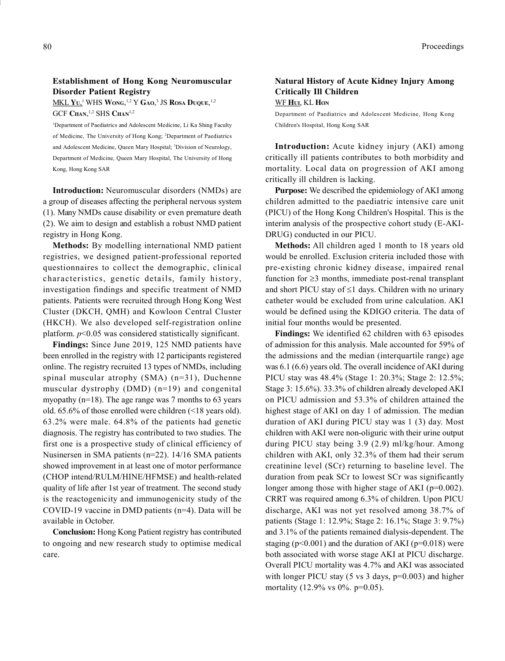#### Establishment of Hong Kong Neuromuscular Disorder Patient Registry

 $\overline{\text{MKL YU,}}^1$  WHS Wong, <sup>1,2</sup> Y Gao,<sup>3</sup> JS Rosa Duque, <sup>1,2</sup> GCF Chan,<sup>1,2</sup> SHS Chan<sup>1,2</sup>

<sup>1</sup>Department of Paediatrics and Adolescent Medicine, Li Ka Shing Faculty of Medicine, The University of Hong Kong; <sup>2</sup>Department of Paediatrics and Adolescent Medicine, Queen Mary Hospital; <sup>3</sup>Division of Neurology, Department of Medicine, Queen Mary Hospital, The University of Hong Kong, Hong Kong SAR

Introduction: Neuromuscular disorders (NMDs) are a group of diseases affecting the peripheral nervous system (1). Many NMDs cause disability or even premature death (2). We aim to design and establish a robust NMD patient registry in Hong Kong.

Methods: By modelling international NMD patient registries, we designed patient-professional reported questionnaires to collect the demographic, clinical characteristics, genetic details, family history, investigation findings and specific treatment of NMD patients. Patients were recruited through Hong Kong West Cluster (DKCH, QMH) and Kowloon Central Cluster (HKCH). We also developed self-registration online platform.  $p<0.05$  was considered statistically significant.

Findings: Since June 2019, 125 NMD patients have been enrolled in the registry with 12 participants registered online. The registry recruited 13 types of NMDs, including spinal muscular atrophy (SMA) (n=31), Duchenne muscular dystrophy (DMD) (n=19) and congenital myopathy (n=18). The age range was 7 months to 63 years old. 65.6% of those enrolled were children (<18 years old). 63.2% were male. 64.8% of the patients had genetic diagnosis. The registry has contributed to two studies. The first one is a prospective study of clinical efficiency of Nusinersen in SMA patients (n=22). 14/16 SMA patients showed improvement in at least one of motor performance (CHOP intend/RULM/HINE/HFMSE) and health-related quality of life after 1st year of treatment. The second study is the reactogenicity and immunogenicity study of the COVID-19 vaccine in DMD patients (n=4). Data will be available in October.

Conclusion: Hong Kong Patient registry has contributed to ongoing and new research study to optimise medical care.

## Natural History of Acute Kidney Injury Among Critically Ill Children WF HUI, KL HON

Department of Paediatrics and Adolescent Medicine, Hong Kong Children's Hospital, Hong Kong SAR

Introduction: Acute kidney injury (AKI) among critically ill patients contributes to both morbidity and mortality. Local data on progression of AKI among critically ill children is lacking.

Purpose: We described the epidemiology of AKI among children admitted to the paediatric intensive care unit (PICU) of the Hong Kong Children's Hospital. This is the interim analysis of the prospective cohort study (E-AKI-DRUG) conducted in our PICU.

Methods: All children aged 1 month to 18 years old would be enrolled. Exclusion criteria included those with pre-existing chronic kidney disease, impaired renal function for  $\geq$ 3 months, immediate post-renal transplant and short PICU stay of  $\leq 1$  days. Children with no urinary catheter would be excluded from urine calculation. AKI would be defined using the KDIGO criteria. The data of initial four months would be presented.

Findings: We identified 62 children with 63 episodes of admission for this analysis. Male accounted for 59% of the admissions and the median (interquartile range) age was 6.1 (6.6) years old. The overall incidence of AKI during PICU stay was 48.4% (Stage 1: 20.3%; Stage 2: 12.5%; Stage 3: 15.6%). 33.3% of children already developed AKI on PICU admission and 53.3% of children attained the highest stage of AKI on day 1 of admission. The median duration of AKI during PICU stay was 1 (3) day. Most children with AKI were non-oliguric with their urine output during PICU stay being 3.9 (2.9) ml/kg/hour. Among children with AKI, only 32.3% of them had their serum creatinine level (SCr) returning to baseline level. The duration from peak SCr to lowest SCr was significantly longer among those with higher stage of AKI ( $p=0.002$ ). CRRT was required among 6.3% of children. Upon PICU discharge, AKI was not yet resolved among 38.7% of patients (Stage 1: 12.9%; Stage 2: 16.1%; Stage 3: 9.7%) and 3.1% of the patients remained dialysis-dependent. The staging ( $p<0.001$ ) and the duration of AKI ( $p=0.018$ ) were both associated with worse stage AKI at PICU discharge. Overall PICU mortality was 4.7% and AKI was associated with longer PICU stay (5 vs 3 days, p=0.003) and higher mortality (12.9% vs 0%. p=0.05).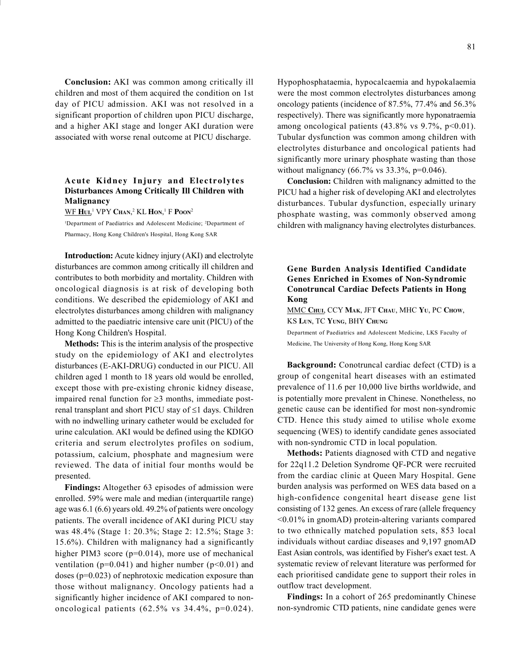Conclusion: AKI was common among critically ill children and most of them acquired the condition on 1st day of PICU admission. AKI was not resolved in a significant proportion of children upon PICU discharge, and a higher AKI stage and longer AKI duration were associated with worse renal outcome at PICU discharge.

# Acute Kidney Injury and Electrolytes Disturbances Among Critically Ill Children with Malignancy

WF Hul,<sup>1</sup> VPY Chan,<sup>2</sup> KL Hon,<sup>1</sup> F Poon<sup>2</sup>

<sup>1</sup>Department of Paediatrics and Adolescent Medicine; <sup>2</sup>Department of Pharmacy, Hong Kong Children's Hospital, Hong Kong SAR

Introduction: Acute kidney injury (AKI) and electrolyte disturbances are common among critically ill children and contributes to both morbidity and mortality. Children with oncological diagnosis is at risk of developing both conditions. We described the epidemiology of AKI and electrolytes disturbances among children with malignancy admitted to the paediatric intensive care unit (PICU) of the Hong Kong Children's Hospital.

Methods: This is the interim analysis of the prospective study on the epidemiology of AKI and electrolytes disturbances (E-AKI-DRUG) conducted in our PICU. All children aged 1 month to 18 years old would be enrolled, except those with pre-existing chronic kidney disease, impaired renal function for  $\geq$ 3 months, immediate postrenal transplant and short PICU stay of  $\leq 1$  days. Children with no indwelling urinary catheter would be excluded for urine calculation. AKI would be defined using the KDIGO criteria and serum electrolytes profiles on sodium, potassium, calcium, phosphate and magnesium were reviewed. The data of initial four months would be presented.

Findings: Altogether 63 episodes of admission were enrolled. 59% were male and median (interquartile range) age was 6.1 (6.6) years old. 49.2% of patients were oncology patients. The overall incidence of AKI during PICU stay was 48.4% (Stage 1: 20.3%; Stage 2: 12.5%; Stage 3: 15.6%). Children with malignancy had a significantly higher PIM3 score (p=0.014), more use of mechanical ventilation ( $p=0.041$ ) and higher number ( $p<0.01$ ) and doses (p=0.023) of nephrotoxic medication exposure than those without malignancy. Oncology patients had a significantly higher incidence of AKI compared to nononcological patients (62.5% vs 34.4%, p=0.024). Hypophosphataemia, hypocalcaemia and hypokalaemia were the most common electrolytes disturbances among oncology patients (incidence of 87.5%, 77.4% and 56.3% respectively). There was significantly more hyponatraemia among oncological patients  $(43.8\% \text{ vs } 9.7\%, \text{ p} < 0.01)$ . Tubular dysfunction was common among children with electrolytes disturbance and oncological patients had significantly more urinary phosphate wasting than those without malignancy  $(66.7\% \text{ vs } 33.3\%, \text{p=0.046}).$ 

Conclusion: Children with malignancy admitted to the PICU had a higher risk of developing AKI and electrolytes disturbances. Tubular dysfunction, especially urinary phosphate wasting, was commonly observed among children with malignancy having electrolytes disturbances.

# Gene Burden Analysis Identified Candidate Genes Enriched in Exomes of Non-Syndromic Conotruncal Cardiac Defects Patients in Hong Kong

MMC CHUI, CCY MAK, JFT CHAU, MHC YU, PC CHOW, KS LUN, TC YUNG, BHY CHUNG

Department of Paediatrics and Adolescent Medicine, LKS Faculty of Medicine, The University of Hong Kong, Hong Kong SAR

Background: Conotruncal cardiac defect (CTD) is a group of congenital heart diseases with an estimated prevalence of 11.6 per 10,000 live births worldwide, and is potentially more prevalent in Chinese. Nonetheless, no genetic cause can be identified for most non-syndromic CTD. Hence this study aimed to utilise whole exome sequencing (WES) to identify candidate genes associated with non-syndromic CTD in local population.

Methods: Patients diagnosed with CTD and negative for 22q11.2 Deletion Syndrome QF-PCR were recruited from the cardiac clinic at Queen Mary Hospital. Gene burden analysis was performed on WES data based on a high-confidence congenital heart disease gene list consisting of 132 genes. An excess of rare (allele frequency <0.01% in gnomAD) protein-altering variants compared to two ethnically matched population sets, 853 local individuals without cardiac diseases and 9,197 gnomAD East Asian controls, was identified by Fisher's exact test. A systematic review of relevant literature was performed for each prioritised candidate gene to support their roles in outflow tract development.

Findings: In a cohort of 265 predominantly Chinese non-syndromic CTD patients, nine candidate genes were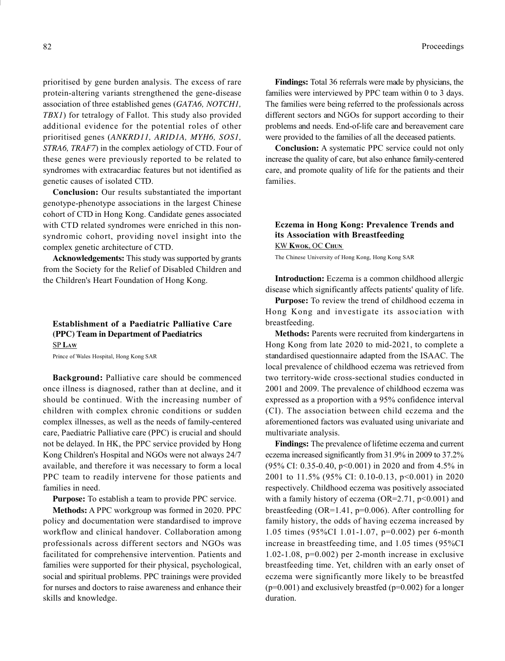prioritised by gene burden analysis. The excess of rare protein-altering variants strengthened the gene-disease association of three established genes (GATA6, NOTCH1, TBX1) for tetralogy of Fallot. This study also provided additional evidence for the potential roles of other prioritised genes (ANKRD11, ARID1A, MYH6, SOS1, STRA6, TRAF7) in the complex aetiology of CTD. Four of these genes were previously reported to be related to syndromes with extracardiac features but not identified as genetic causes of isolated CTD.

Conclusion: Our results substantiated the important genotype-phenotype associations in the largest Chinese cohort of CTD in Hong Kong. Candidate genes associated with CTD related syndromes were enriched in this nonsyndromic cohort, providing novel insight into the complex genetic architecture of CTD.

Acknowledgements: This study was supported by grants from the Society for the Relief of Disabled Children and the Children's Heart Foundation of Hong Kong.

# Establishment of a Paediatric Palliative Care (PPC) Team in Department of Paediatrics SP LAW

Prince of Wales Hospital, Hong Kong SAR

Background: Palliative care should be commenced once illness is diagnosed, rather than at decline, and it should be continued. With the increasing number of children with complex chronic conditions or sudden complex illnesses, as well as the needs of family-centered care, Paediatric Palliative care (PPC) is crucial and should not be delayed. In HK, the PPC service provided by Hong Kong Children's Hospital and NGOs were not always 24/7 available, and therefore it was necessary to form a local PPC team to readily intervene for those patients and families in need.

Purpose: To establish a team to provide PPC service.

Methods: A PPC workgroup was formed in 2020. PPC policy and documentation were standardised to improve workflow and clinical handover. Collaboration among professionals across different sectors and NGOs was facilitated for comprehensive intervention. Patients and families were supported for their physical, psychological, social and spiritual problems. PPC trainings were provided for nurses and doctors to raise awareness and enhance their skills and knowledge.

Findings: Total 36 referrals were made by physicians, the families were interviewed by PPC team within 0 to 3 days. The families were being referred to the professionals across different sectors and NGOs for support according to their problems and needs. End-of-life care and bereavement care were provided to the families of all the deceased patients.

Conclusion: A systematic PPC service could not only increase the quality of care, but also enhance family-centered care, and promote quality of life for the patients and their families.

## Eczema in Hong Kong: Prevalence Trends and its Association with Breastfeeding KW KWOK, OC CHUN

The Chinese University of Hong Kong, Hong Kong SAR

Introduction: Eczema is a common childhood allergic disease which significantly affects patients' quality of life.

Purpose: To review the trend of childhood eczema in Hong Kong and investigate its association with breastfeeding.

Methods: Parents were recruited from kindergartens in Hong Kong from late 2020 to mid-2021, to complete a standardised questionnaire adapted from the ISAAC. The local prevalence of childhood eczema was retrieved from two territory-wide cross-sectional studies conducted in 2001 and 2009. The prevalence of childhood eczema was expressed as a proportion with a 95% confidence interval (CI). The association between child eczema and the aforementioned factors was evaluated using univariate and multivariate analysis.

Findings: The prevalence of lifetime eczema and current eczema increased significantly from 31.9% in 2009 to 37.2% (95% CI: 0.35-0.40, p<0.001) in 2020 and from 4.5% in 2001 to 11.5% (95% CI: 0.10-0.13, p<0.001) in 2020 respectively. Childhood eczema was positively associated with a family history of eczema (OR=2.71,  $p<0.001$ ) and breastfeeding (OR=1.41, p=0.006). After controlling for family history, the odds of having eczema increased by 1.05 times (95%CI 1.01-1.07, p=0.002) per 6-month increase in breastfeeding time, and 1.05 times (95%CI 1.02-1.08, p=0.002) per 2-month increase in exclusive breastfeeding time. Yet, children with an early onset of eczema were significantly more likely to be breastfed  $(p=0.001)$  and exclusively breastfed  $(p=0.002)$  for a longer duration.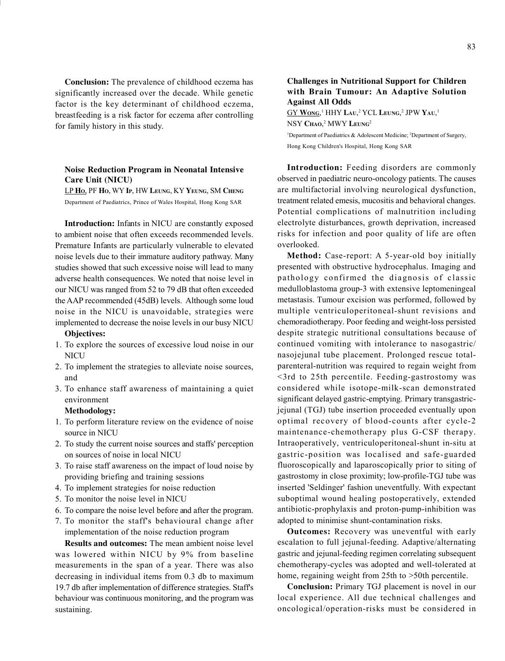Conclusion: The prevalence of childhood eczema has significantly increased over the decade. While genetic factor is the key determinant of childhood eczema, breastfeeding is a risk factor for eczema after controlling for family history in this study.

## Noise Reduction Program in Neonatal Intensive Care Unit (NICU)

LP HO, PF HO, WY IP, HW LEUNG, KY YEUNG, SM CHENG Department of Paediatrics, Prince of Wales Hospital, Hong Kong SAR

Introduction: Infants in NICU are constantly exposed to ambient noise that often exceeds recommended levels. Premature Infants are particularly vulnerable to elevated noise levels due to their immature auditory pathway. Many studies showed that such excessive noise will lead to many adverse health consequences. We noted that noise level in our NICU was ranged from 52 to 79 dB that often exceeded the AAP recommended (45dB) levels. Although some loud noise in the NICU is unavoidable, strategies were implemented to decrease the noise levels in our busy NICU

## Objectives:

- 1. To explore the sources of excessive loud noise in our **NICU**
- 2. To implement the strategies to alleviate noise sources, and
- 3. To enhance staff awareness of maintaining a quiet environment

#### Methodology:

- 1. To perform literature review on the evidence of noise source in NICU
- 2. To study the current noise sources and staffs' perception on sources of noise in local NICU
- 3. To raise staff awareness on the impact of loud noise by providing briefing and training sessions
- 4. To implement strategies for noise reduction
- 5. To monitor the noise level in NICU
- 6. To compare the noise level before and after the program.
- 7. To monitor the staff's behavioural change after implementation of the noise reduction program

Results and outcomes: The mean ambient noise level was lowered within NICU by 9% from baseline measurements in the span of a year. There was also decreasing in individual items from 0.3 db to maximum 19.7 db after implementation of difference strategies. Staff's behaviour was continuous monitoring, and the program was sustaining.

#### Challenges in Nutritional Support for Children with Brain Tumour: An Adaptive Solution Against All Odds

 $G$ Y Wong,<sup>1</sup> HHY Lau,<sup>2</sup> YCL Leung,<sup>2</sup> JPW Yau,<sup>1</sup> NSY Chao,<sup>2</sup> MWY Leung<sup>2</sup> <sup>1</sup>Department of Paediatrics & Adolescent Medicine; <sup>2</sup>Department of Surgery, Hong Kong Children's Hospital, Hong Kong SAR

Introduction: Feeding disorders are commonly observed in paediatric neuro-oncology patients. The causes are multifactorial involving neurological dysfunction, treatment related emesis, mucositis and behavioral changes. Potential complications of malnutrition including electrolyte disturbances, growth deprivation, increased risks for infection and poor quality of life are often overlooked.

Method: Case-report: A 5-year-old boy initially presented with obstructive hydrocephalus. Imaging and pathology confirmed the diagnosis of classic medulloblastoma group-3 with extensive leptomeningeal metastasis. Tumour excision was performed, followed by multiple ventriculoperitoneal-shunt revisions and chemoradiotherapy. Poor feeding and weight-loss persisted despite strategic nutritional consultations because of continued vomiting with intolerance to nasogastric/ nasojejunal tube placement. Prolonged rescue totalparenteral-nutrition was required to regain weight from <3rd to 25th percentile. Feeding-gastrostomy was considered while isotope-milk-scan demonstrated significant delayed gastric-emptying. Primary transgastricjejunal (TGJ) tube insertion proceeded eventually upon optimal recovery of blood-counts after cycle-2 maintenance-chemotherapy plus G-CSF therapy. Intraoperatively, ventriculoperitoneal-shunt in-situ at gastric-position was localised and safe-guarded fluoroscopically and laparoscopically prior to siting of gastrostomy in close proximity; low-profile-TGJ tube was inserted 'Seldinger' fashion uneventfully. With expectant suboptimal wound healing postoperatively, extended antibiotic-prophylaxis and proton-pump-inhibition was adopted to minimise shunt-contamination risks.

Outcomes: Recovery was uneventful with early escalation to full jejunal-feeding. Adaptive/alternating gastric and jejunal-feeding regimen correlating subsequent chemotherapy-cycles was adopted and well-tolerated at home, regaining weight from 25th to >50th percentile.

Conclusion: Primary TGJ placement is novel in our local experience. All due technical challenges and oncological/operation-risks must be considered in